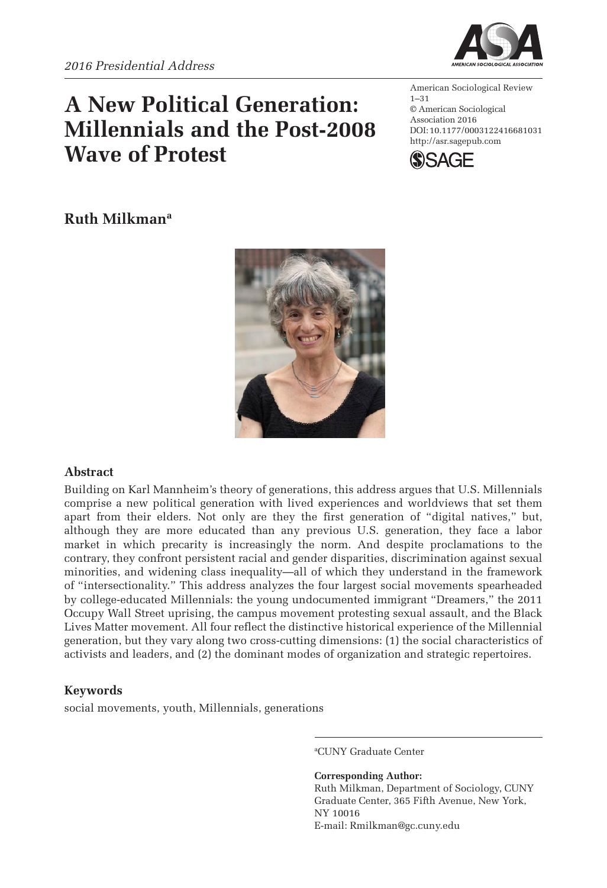# **A New Political Generation: Millennials and the Post-2008 Wave of Protest**



American Sociological Review 1–31 © American Sociological Association 2016 DOI: 10.1177/0003122416681031 http://asr.sagepub.com



## **Ruth Milkmana**



### **Abstract**

Building on Karl Mannheim's theory of generations, this address argues that U.S. Millennials comprise a new political generation with lived experiences and worldviews that set them apart from their elders. Not only are they the first generation of "digital natives," but, although they are more educated than any previous U.S. generation, they face a labor market in which precarity is increasingly the norm. And despite proclamations to the contrary, they confront persistent racial and gender disparities, discrimination against sexual minorities, and widening class inequality—all of which they understand in the framework of "intersectionality." This address analyzes the four largest social movements spearheaded by college-educated Millennials: the young undocumented immigrant "Dreamers," the 2011 Occupy Wall Street uprising, the campus movement protesting sexual assault, and the Black Lives Matter movement. All four reflect the distinctive historical experience of the Millennial generation, but they vary along two cross-cutting dimensions: (1) the social characteristics of activists and leaders, and (2) the dominant modes of organization and strategic repertoires.

### **Keywords**

social movements, youth, Millennials, generations

a CUNY Graduate Center

**Corresponding Author:** Ruth Milkman, Department of Sociology, CUNY Graduate Center, 365 Fifth Avenue, New York, NY 10016 E-mail: [Rmilkman@gc.cuny.edu](mailto:Rmilkman@gc.cuny.edu)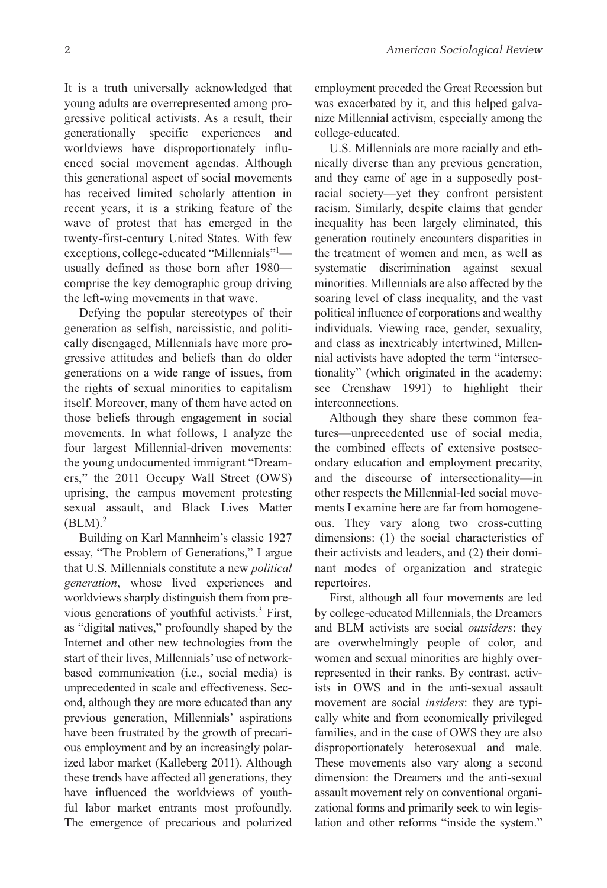It is a truth universally acknowledged that young adults are overrepresented among progressive political activists. As a result, their generationally specific experiences and worldviews have disproportionately influenced social movement agendas. Although this generational aspect of social movements has received limited scholarly attention in recent years, it is a striking feature of the wave of protest that has emerged in the twenty-first-century United States. With few exceptions, college-educated "Millennials"1 usually defined as those born after 1980 comprise the key demographic group driving the left-wing movements in that wave.

Defying the popular stereotypes of their generation as selfish, narcissistic, and politically disengaged, Millennials have more progressive attitudes and beliefs than do older generations on a wide range of issues, from the rights of sexual minorities to capitalism itself. Moreover, many of them have acted on those beliefs through engagement in social movements. In what follows, I analyze the four largest Millennial-driven movements: the young undocumented immigrant "Dreamers," the 2011 Occupy Wall Street (OWS) uprising, the campus movement protesting sexual assault, and Black Lives Matter  $(BLM).<sup>2</sup>$ 

Building on Karl Mannheim's classic 1927 essay, "The Problem of Generations," I argue that U.S. Millennials constitute a new *political generation*, whose lived experiences and worldviews sharply distinguish them from previous generations of youthful activists.<sup>3</sup> First, as "digital natives," profoundly shaped by the Internet and other new technologies from the start of their lives, Millennials' use of networkbased communication (i.e., social media) is unprecedented in scale and effectiveness. Second, although they are more educated than any previous generation, Millennials' aspirations have been frustrated by the growth of precarious employment and by an increasingly polarized labor market (Kalleberg 2011). Although these trends have affected all generations, they have influenced the worldviews of youthful labor market entrants most profoundly. The emergence of precarious and polarized

employment preceded the Great Recession but was exacerbated by it, and this helped galvanize Millennial activism, especially among the college-educated.

U.S. Millennials are more racially and ethnically diverse than any previous generation, and they came of age in a supposedly postracial society—yet they confront persistent racism. Similarly, despite claims that gender inequality has been largely eliminated, this generation routinely encounters disparities in the treatment of women and men, as well as systematic discrimination against sexual minorities. Millennials are also affected by the soaring level of class inequality, and the vast political influence of corporations and wealthy individuals. Viewing race, gender, sexuality, and class as inextricably intertwined, Millennial activists have adopted the term "intersectionality" (which originated in the academy; see Crenshaw 1991) to highlight their interconnections.

Although they share these common features—unprecedented use of social media, the combined effects of extensive postsecondary education and employment precarity, and the discourse of intersectionality—in other respects the Millennial-led social movements I examine here are far from homogeneous. They vary along two cross-cutting dimensions: (1) the social characteristics of their activists and leaders, and (2) their dominant modes of organization and strategic repertoires.

First, although all four movements are led by college-educated Millennials, the Dreamers and BLM activists are social *outsiders*: they are overwhelmingly people of color, and women and sexual minorities are highly overrepresented in their ranks. By contrast, activists in OWS and in the anti-sexual assault movement are social *insiders*: they are typically white and from economically privileged families, and in the case of OWS they are also disproportionately heterosexual and male. These movements also vary along a second dimension: the Dreamers and the anti-sexual assault movement rely on conventional organizational forms and primarily seek to win legislation and other reforms "inside the system."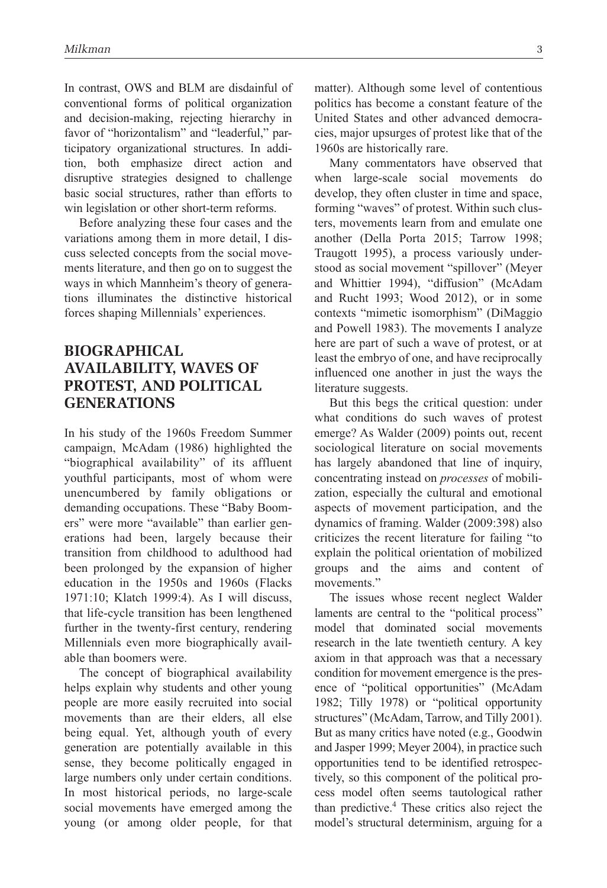In contrast, OWS and BLM are disdainful of conventional forms of political organization and decision-making, rejecting hierarchy in favor of "horizontalism" and "leaderful," participatory organizational structures. In addition, both emphasize direct action and disruptive strategies designed to challenge basic social structures, rather than efforts to win legislation or other short-term reforms.

Before analyzing these four cases and the variations among them in more detail, I discuss selected concepts from the social movements literature, and then go on to suggest the ways in which Mannheim's theory of generations illuminates the distinctive historical forces shaping Millennials' experiences.

### **Biographical Availability, Waves of Protest, and Political Generations**

In his study of the 1960s Freedom Summer campaign, McAdam (1986) highlighted the "biographical availability" of its affluent youthful participants, most of whom were unencumbered by family obligations or demanding occupations. These "Baby Boomers" were more "available" than earlier generations had been, largely because their transition from childhood to adulthood had been prolonged by the expansion of higher education in the 1950s and 1960s (Flacks 1971:10; Klatch 1999:4). As I will discuss, that life-cycle transition has been lengthened further in the twenty-first century, rendering Millennials even more biographically available than boomers were.

The concept of biographical availability helps explain why students and other young people are more easily recruited into social movements than are their elders, all else being equal. Yet, although youth of every generation are potentially available in this sense, they become politically engaged in large numbers only under certain conditions. In most historical periods, no large-scale social movements have emerged among the young (or among older people, for that matter). Although some level of contentious politics has become a constant feature of the United States and other advanced democracies, major upsurges of protest like that of the 1960s are historically rare.

Many commentators have observed that when large-scale social movements do develop, they often cluster in time and space, forming "waves" of protest. Within such clusters, movements learn from and emulate one another (Della Porta 2015; Tarrow 1998; Traugott 1995), a process variously understood as social movement "spillover" (Meyer and Whittier 1994), "diffusion" (McAdam and Rucht 1993; Wood 2012), or in some contexts "mimetic isomorphism" (DiMaggio and Powell 1983). The movements I analyze here are part of such a wave of protest, or at least the embryo of one, and have reciprocally influenced one another in just the ways the literature suggests.

But this begs the critical question: under what conditions do such waves of protest emerge? As Walder (2009) points out, recent sociological literature on social movements has largely abandoned that line of inquiry, concentrating instead on *processes* of mobilization, especially the cultural and emotional aspects of movement participation, and the dynamics of framing. Walder (2009:398) also criticizes the recent literature for failing "to explain the political orientation of mobilized groups and the aims and content of movements."

The issues whose recent neglect Walder laments are central to the "political process" model that dominated social movements research in the late twentieth century. A key axiom in that approach was that a necessary condition for movement emergence is the presence of "political opportunities" (McAdam 1982; Tilly 1978) or "political opportunity structures" (McAdam, Tarrow, and Tilly 2001). But as many critics have noted (e.g., Goodwin and Jasper 1999; Meyer 2004), in practice such opportunities tend to be identified retrospectively, so this component of the political process model often seems tautological rather than predictive.4 These critics also reject the model's structural determinism, arguing for a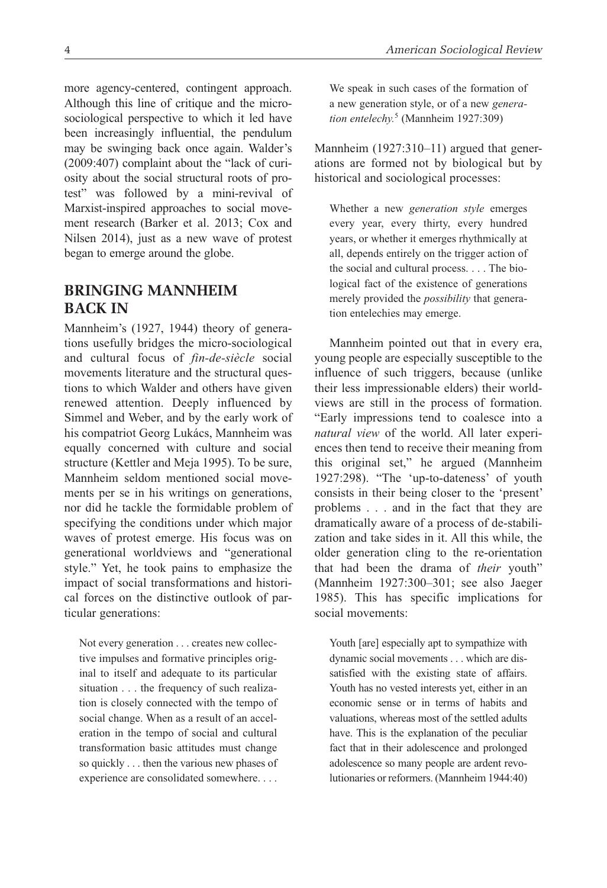more agency-centered, contingent approach. Although this line of critique and the microsociological perspective to which it led have been increasingly influential, the pendulum may be swinging back once again. Walder's (2009:407) complaint about the "lack of curiosity about the social structural roots of protest" was followed by a mini-revival of Marxist-inspired approaches to social movement research (Barker et al. 2013; Cox and Nilsen 2014), just as a new wave of protest began to emerge around the globe.

### **Bringing Mannheim Back In**

Mannheim's (1927, 1944) theory of generations usefully bridges the micro-sociological and cultural focus of *fin-de-siècle* social movements literature and the structural questions to which Walder and others have given renewed attention. Deeply influenced by Simmel and Weber, and by the early work of his compatriot Georg Lukács, Mannheim was equally concerned with culture and social structure (Kettler and Meja 1995). To be sure, Mannheim seldom mentioned social movements per se in his writings on generations, nor did he tackle the formidable problem of specifying the conditions under which major waves of protest emerge. His focus was on generational worldviews and "generational style." Yet, he took pains to emphasize the impact of social transformations and historical forces on the distinctive outlook of particular generations:

Not every generation . . . creates new collective impulses and formative principles original to itself and adequate to its particular situation . . . the frequency of such realization is closely connected with the tempo of social change. When as a result of an acceleration in the tempo of social and cultural transformation basic attitudes must change so quickly . . . then the various new phases of experience are consolidated somewhere. . . .

We speak in such cases of the formation of a new generation style, or of a new *generation entelechy.*<sup>5</sup> (Mannheim 1927:309)

Mannheim (1927:310–11) argued that generations are formed not by biological but by historical and sociological processes:

Whether a new *generation style* emerges every year, every thirty, every hundred years, or whether it emerges rhythmically at all, depends entirely on the trigger action of the social and cultural process. . . . The biological fact of the existence of generations merely provided the *possibility* that generation entelechies may emerge.

Mannheim pointed out that in every era, young people are especially susceptible to the influence of such triggers, because (unlike their less impressionable elders) their worldviews are still in the process of formation. "Early impressions tend to coalesce into a *natural view* of the world. All later experiences then tend to receive their meaning from this original set," he argued (Mannheim 1927:298). "The 'up-to-dateness' of youth consists in their being closer to the 'present' problems . . . and in the fact that they are dramatically aware of a process of de-stabilization and take sides in it. All this while, the older generation cling to the re-orientation that had been the drama of *their* youth" (Mannheim 1927:300–301; see also Jaeger 1985). This has specific implications for social movements:

Youth [are] especially apt to sympathize with dynamic social movements . . . which are dissatisfied with the existing state of affairs. Youth has no vested interests yet, either in an economic sense or in terms of habits and valuations, whereas most of the settled adults have. This is the explanation of the peculiar fact that in their adolescence and prolonged adolescence so many people are ardent revolutionaries or reformers. (Mannheim 1944:40)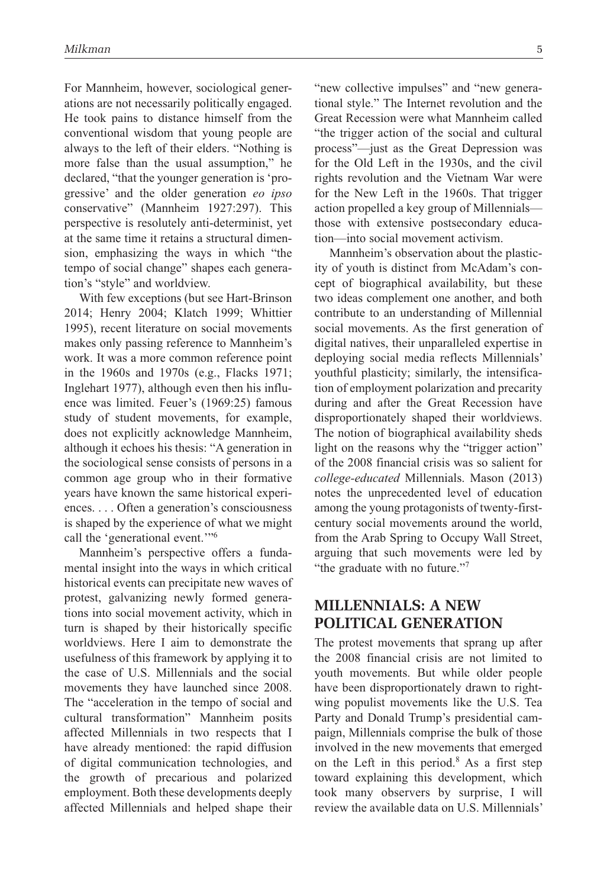For Mannheim, however, sociological generations are not necessarily politically engaged. He took pains to distance himself from the conventional wisdom that young people are always to the left of their elders. "Nothing is more false than the usual assumption," he declared, "that the younger generation is 'progressive' and the older generation *eo ipso* conservative" (Mannheim 1927:297). This perspective is resolutely anti-determinist, yet at the same time it retains a structural dimension, emphasizing the ways in which "the tempo of social change" shapes each generation's "style" and worldview.

With few exceptions (but see Hart-Brinson 2014; Henry 2004; Klatch 1999; Whittier 1995), recent literature on social movements makes only passing reference to Mannheim's work. It was a more common reference point in the 1960s and 1970s (e.g., Flacks 1971; Inglehart 1977), although even then his influence was limited. Feuer's (1969:25) famous study of student movements, for example, does not explicitly acknowledge Mannheim, although it echoes his thesis: "A generation in the sociological sense consists of persons in a common age group who in their formative years have known the same historical experiences. . . . Often a generation's consciousness is shaped by the experience of what we might call the 'generational event.'"6

Mannheim's perspective offers a fundamental insight into the ways in which critical historical events can precipitate new waves of protest, galvanizing newly formed generations into social movement activity, which in turn is shaped by their historically specific worldviews. Here I aim to demonstrate the usefulness of this framework by applying it to the case of U.S. Millennials and the social movements they have launched since 2008. The "acceleration in the tempo of social and cultural transformation" Mannheim posits affected Millennials in two respects that I have already mentioned: the rapid diffusion of digital communication technologies, and the growth of precarious and polarized employment. Both these developments deeply affected Millennials and helped shape their

"new collective impulses" and "new generational style." The Internet revolution and the Great Recession were what Mannheim called "the trigger action of the social and cultural process"—just as the Great Depression was for the Old Left in the 1930s, and the civil rights revolution and the Vietnam War were for the New Left in the 1960s. That trigger action propelled a key group of Millennials those with extensive postsecondary education—into social movement activism.

Mannheim's observation about the plasticity of youth is distinct from McAdam's concept of biographical availability, but these two ideas complement one another, and both contribute to an understanding of Millennial social movements. As the first generation of digital natives, their unparalleled expertise in deploying social media reflects Millennials' youthful plasticity; similarly, the intensification of employment polarization and precarity during and after the Great Recession have disproportionately shaped their worldviews. The notion of biographical availability sheds light on the reasons why the "trigger action" of the 2008 financial crisis was so salient for *college-educated* Millennials. Mason (2013) notes the unprecedented level of education among the young protagonists of twenty-firstcentury social movements around the world, from the Arab Spring to Occupy Wall Street, arguing that such movements were led by "the graduate with no future."7

### **Millennials: A New Political Generation**

The protest movements that sprang up after the 2008 financial crisis are not limited to youth movements. But while older people have been disproportionately drawn to rightwing populist movements like the U.S. Tea Party and Donald Trump's presidential campaign, Millennials comprise the bulk of those involved in the new movements that emerged on the Left in this period.8 As a first step toward explaining this development, which took many observers by surprise, I will review the available data on U.S. Millennials'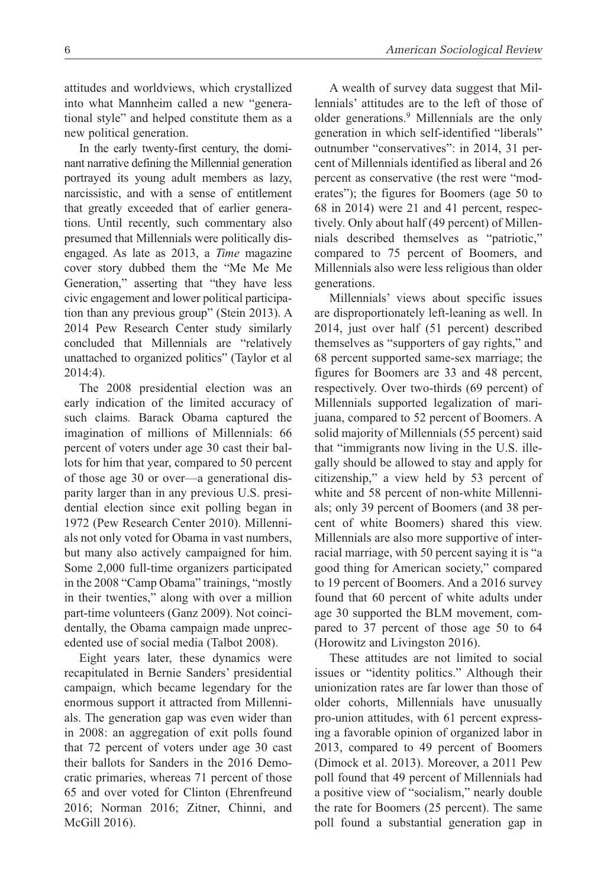attitudes and worldviews, which crystallized into what Mannheim called a new "generational style" and helped constitute them as a new political generation.

In the early twenty-first century, the dominant narrative defining the Millennial generation portrayed its young adult members as lazy, narcissistic, and with a sense of entitlement that greatly exceeded that of earlier generations. Until recently, such commentary also presumed that Millennials were politically disengaged. As late as 2013, a *Time* magazine cover story dubbed them the "Me Me Me Generation," asserting that "they have less civic engagement and lower political participation than any previous group" (Stein 2013). A 2014 Pew Research Center study similarly concluded that Millennials are "relatively unattached to organized politics" (Taylor et al 2014:4).

The 2008 presidential election was an early indication of the limited accuracy of such claims. Barack Obama captured the imagination of millions of Millennials: 66 percent of voters under age 30 cast their ballots for him that year, compared to 50 percent of those age 30 or over—a generational disparity larger than in any previous U.S. presidential election since exit polling began in 1972 (Pew Research Center 2010). Millennials not only voted for Obama in vast numbers, but many also actively campaigned for him. Some 2,000 full-time organizers participated in the 2008 "Camp Obama" trainings, "mostly in their twenties," along with over a million part-time volunteers (Ganz 2009). Not coincidentally, the Obama campaign made unprecedented use of social media (Talbot 2008).

Eight years later, these dynamics were recapitulated in Bernie Sanders' presidential campaign, which became legendary for the enormous support it attracted from Millennials. The generation gap was even wider than in 2008: an aggregation of exit polls found that 72 percent of voters under age 30 cast their ballots for Sanders in the 2016 Democratic primaries, whereas 71 percent of those 65 and over voted for Clinton (Ehrenfreund 2016; Norman 2016; Zitner, Chinni, and McGill 2016).

A wealth of survey data suggest that Millennials' attitudes are to the left of those of older generations.<sup>9</sup> Millennials are the only generation in which self-identified "liberals" outnumber "conservatives": in 2014, 31 percent of Millennials identified as liberal and 26 percent as conservative (the rest were "moderates"); the figures for Boomers (age 50 to 68 in 2014) were 21 and 41 percent, respectively. Only about half (49 percent) of Millennials described themselves as "patriotic," compared to 75 percent of Boomers, and Millennials also were less religious than older

generations.

Millennials' views about specific issues are disproportionately left-leaning as well. In 2014, just over half (51 percent) described themselves as "supporters of gay rights," and 68 percent supported same-sex marriage; the figures for Boomers are 33 and 48 percent, respectively. Over two-thirds (69 percent) of Millennials supported legalization of marijuana, compared to 52 percent of Boomers. A solid majority of Millennials (55 percent) said that "immigrants now living in the U.S. illegally should be allowed to stay and apply for citizenship," a view held by 53 percent of white and 58 percent of non-white Millennials; only 39 percent of Boomers (and 38 percent of white Boomers) shared this view. Millennials are also more supportive of interracial marriage, with 50 percent saying it is "a good thing for American society," compared to 19 percent of Boomers. And a 2016 survey found that 60 percent of white adults under age 30 supported the BLM movement, compared to 37 percent of those age 50 to 64 (Horowitz and Livingston 2016).

These attitudes are not limited to social issues or "identity politics." Although their unionization rates are far lower than those of older cohorts, Millennials have unusually pro-union attitudes, with 61 percent expressing a favorable opinion of organized labor in 2013, compared to 49 percent of Boomers (Dimock et al. 2013). Moreover, a 2011 Pew poll found that 49 percent of Millennials had a positive view of "socialism," nearly double the rate for Boomers (25 percent). The same poll found a substantial generation gap in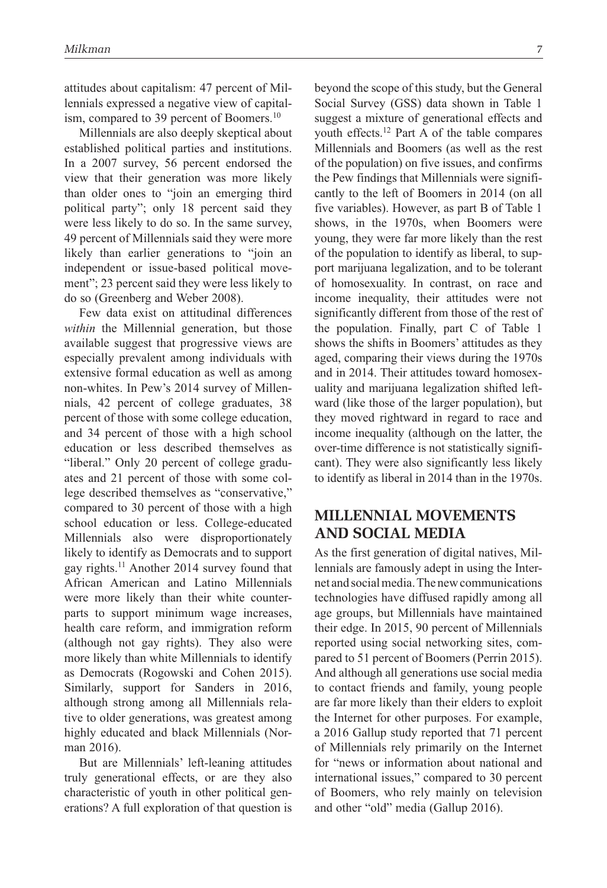attitudes about capitalism: 47 percent of Millennials expressed a negative view of capitalism, compared to 39 percent of Boomers.<sup>10</sup>

Millennials are also deeply skeptical about established political parties and institutions. In a 2007 survey, 56 percent endorsed the view that their generation was more likely than older ones to "join an emerging third political party"; only 18 percent said they were less likely to do so. In the same survey, 49 percent of Millennials said they were more likely than earlier generations to "join an independent or issue-based political movement"; 23 percent said they were less likely to do so (Greenberg and Weber 2008).

Few data exist on attitudinal differences *within* the Millennial generation, but those available suggest that progressive views are especially prevalent among individuals with extensive formal education as well as among non-whites. In Pew's 2014 survey of Millennials, 42 percent of college graduates, 38 percent of those with some college education, and 34 percent of those with a high school education or less described themselves as "liberal." Only 20 percent of college graduates and 21 percent of those with some college described themselves as "conservative," compared to 30 percent of those with a high school education or less. College-educated Millennials also were disproportionately likely to identify as Democrats and to support gay rights.11 Another 2014 survey found that African American and Latino Millennials were more likely than their white counterparts to support minimum wage increases, health care reform, and immigration reform (although not gay rights). They also were more likely than white Millennials to identify as Democrats (Rogowski and Cohen 2015). Similarly, support for Sanders in 2016, although strong among all Millennials relative to older generations, was greatest among highly educated and black Millennials (Norman 2016).

But are Millennials' left-leaning attitudes truly generational effects, or are they also characteristic of youth in other political generations? A full exploration of that question is beyond the scope of this study, but the General Social Survey (GSS) data shown in Table 1 suggest a mixture of generational effects and youth effects.12 Part A of the table compares Millennials and Boomers (as well as the rest of the population) on five issues, and confirms the Pew findings that Millennials were significantly to the left of Boomers in 2014 (on all five variables). However, as part B of Table 1 shows, in the 1970s, when Boomers were young, they were far more likely than the rest of the population to identify as liberal, to support marijuana legalization, and to be tolerant of homosexuality. In contrast, on race and income inequality, their attitudes were not significantly different from those of the rest of the population. Finally, part C of Table 1 shows the shifts in Boomers' attitudes as they aged, comparing their views during the 1970s and in 2014. Their attitudes toward homosexuality and marijuana legalization shifted leftward (like those of the larger population), but they moved rightward in regard to race and income inequality (although on the latter, the over-time difference is not statistically significant). They were also significantly less likely to identify as liberal in 2014 than in the 1970s.

### **Millennial Movements and Social Media**

As the first generation of digital natives, Millennials are famously adept in using the Internet and social media. The new communications technologies have diffused rapidly among all age groups, but Millennials have maintained their edge. In 2015, 90 percent of Millennials reported using social networking sites, compared to 51 percent of Boomers (Perrin 2015). And although all generations use social media to contact friends and family, young people are far more likely than their elders to exploit the Internet for other purposes. For example, a 2016 Gallup study reported that 71 percent of Millennials rely primarily on the Internet for "news or information about national and international issues," compared to 30 percent of Boomers, who rely mainly on television and other "old" media (Gallup 2016).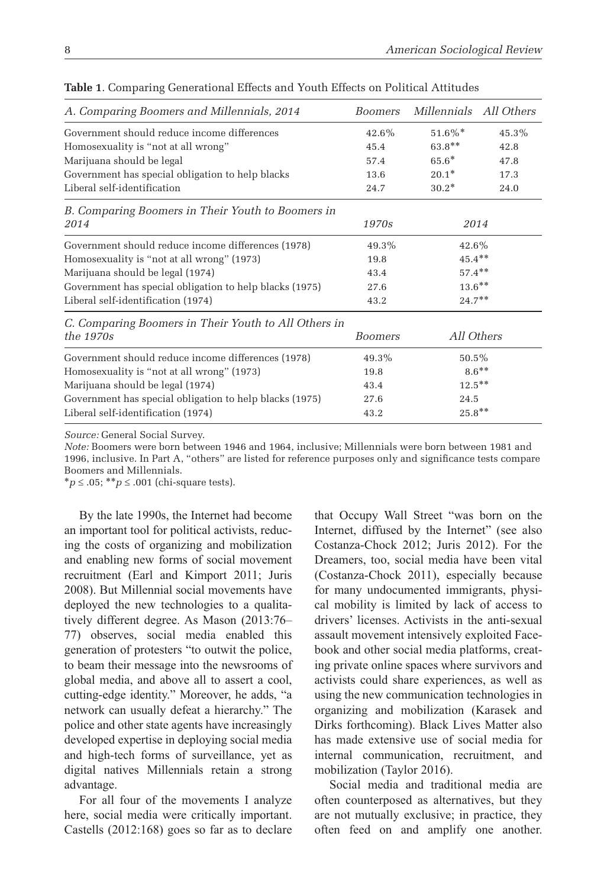| A. Comparing Boomers and Millennials, 2014              | <b>Boomers</b> | Millennials All Others |       |
|---------------------------------------------------------|----------------|------------------------|-------|
| Government should reduce income differences             | 42.6%          | $51.6\%$ *             | 45.3% |
| Homosexuality is "not at all wrong"                     | 45.4           | $63.8**$               | 42.8  |
| Marijuana should be legal                               | 57.4           | $65.6*$                | 47.8  |
| Government has special obligation to help blacks        | 13.6           | $20.1*$                | 17.3  |
| Liberal self-identification                             | 24.7           | $30.2*$                | 24.0  |
| B. Comparing Boomers in Their Youth to Boomers in       |                |                        |       |
| 2014                                                    | 1970s          | 2014                   |       |
| Government should reduce income differences (1978)      | 49.3%          | 42.6%                  |       |
| Homosexuality is "not at all wrong" (1973)              | 19.8           | $45.4***$              |       |
| Marijuana should be legal (1974)                        | 43.4           | $57.4***$              |       |
| Government has special obligation to help blacks (1975) | 27.6           | $13.6***$              |       |
| Liberal self-identification (1974)                      | 43.2           | $24.7***$              |       |
| C. Comparing Boomers in Their Youth to All Others in    |                |                        |       |
| the $1970s$                                             | <b>Boomers</b> | All Others             |       |
| Government should reduce income differences (1978)      | 49.3%          | $50.5\%$               |       |
| Homosexuality is "not at all wrong" (1973)              | 19.8           | $8.6***$               |       |
| Marijuana should be legal (1974)                        | 43.4           | $12.5***$              |       |
| Government has special obligation to help blacks (1975) | 27.6           | 24.5                   |       |
| Liberal self-identification (1974)                      | 43.2           | $25.8**$               |       |

**Table 1**. Comparing Generational Effects and Youth Effects on Political Attitudes

*Source:* General Social Survey.

*Note:* Boomers were born between 1946 and 1964, inclusive; Millennials were born between 1981 and 1996, inclusive. In Part A, "others" are listed for reference purposes only and significance tests compare Boomers and Millennials.

\**p* ≤ .05; \*\**p* ≤ .001 (chi-square tests).

By the late 1990s, the Internet had become an important tool for political activists, reducing the costs of organizing and mobilization and enabling new forms of social movement recruitment (Earl and Kimport 2011; Juris 2008). But Millennial social movements have deployed the new technologies to a qualitatively different degree. As Mason (2013:76– 77) observes, social media enabled this generation of protesters "to outwit the police, to beam their message into the newsrooms of global media, and above all to assert a cool, cutting-edge identity." Moreover, he adds, "a network can usually defeat a hierarchy." The police and other state agents have increasingly developed expertise in deploying social media and high-tech forms of surveillance, yet as digital natives Millennials retain a strong advantage.

For all four of the movements I analyze here, social media were critically important. Castells (2012:168) goes so far as to declare that Occupy Wall Street "was born on the Internet, diffused by the Internet" (see also Costanza-Chock 2012; Juris 2012). For the Dreamers, too, social media have been vital (Costanza-Chock 2011), especially because for many undocumented immigrants, physical mobility is limited by lack of access to drivers' licenses. Activists in the anti-sexual assault movement intensively exploited Facebook and other social media platforms, creating private online spaces where survivors and activists could share experiences, as well as using the new communication technologies in organizing and mobilization (Karasek and Dirks forthcoming). Black Lives Matter also has made extensive use of social media for internal communication, recruitment, and mobilization (Taylor 2016).

Social media and traditional media are often counterposed as alternatives, but they are not mutually exclusive; in practice, they often feed on and amplify one another.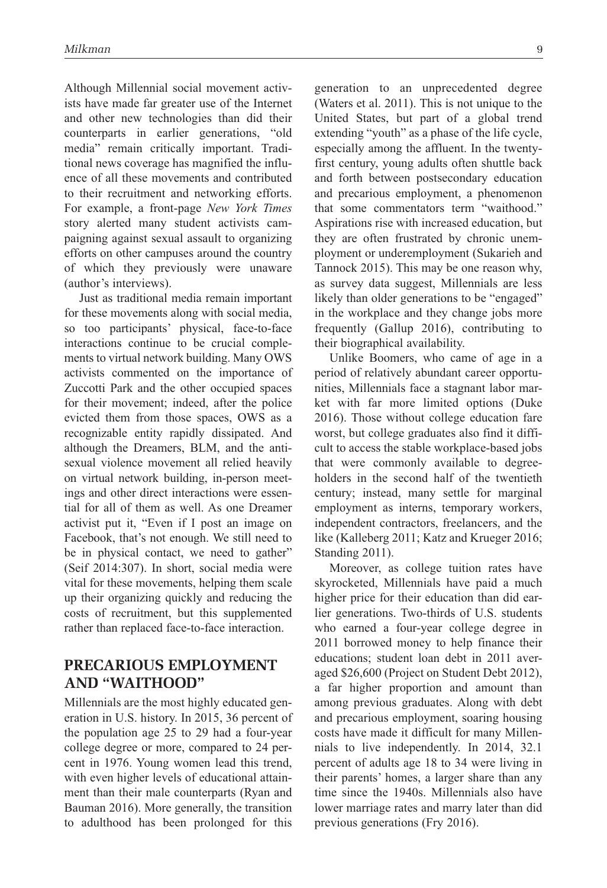Although Millennial social movement activists have made far greater use of the Internet and other new technologies than did their counterparts in earlier generations, "old media" remain critically important. Traditional news coverage has magnified the influence of all these movements and contributed to their recruitment and networking efforts. For example, a front-page *New York Times* story alerted many student activists campaigning against sexual assault to organizing efforts on other campuses around the country of which they previously were unaware (author's interviews).

Just as traditional media remain important for these movements along with social media, so too participants' physical, face-to-face interactions continue to be crucial complements to virtual network building. Many OWS activists commented on the importance of Zuccotti Park and the other occupied spaces for their movement; indeed, after the police evicted them from those spaces, OWS as a recognizable entity rapidly dissipated. And although the Dreamers, BLM, and the antisexual violence movement all relied heavily on virtual network building, in-person meetings and other direct interactions were essential for all of them as well. As one Dreamer activist put it, "Even if I post an image on Facebook, that's not enough. We still need to be in physical contact, we need to gather" (Seif 2014:307). In short, social media were vital for these movements, helping them scale up their organizing quickly and reducing the costs of recruitment, but this supplemented rather than replaced face-to-face interaction.

### **Precarious Employment and "Waithood"**

Millennials are the most highly educated generation in U.S. history. In 2015, 36 percent of the population age 25 to 29 had a four-year college degree or more, compared to 24 percent in 1976. Young women lead this trend, with even higher levels of educational attainment than their male counterparts (Ryan and Bauman 2016). More generally, the transition to adulthood has been prolonged for this generation to an unprecedented degree (Waters et al. 2011). This is not unique to the United States, but part of a global trend extending "youth" as a phase of the life cycle, especially among the affluent. In the twentyfirst century, young adults often shuttle back and forth between postsecondary education and precarious employment, a phenomenon that some commentators term "waithood." Aspirations rise with increased education, but they are often frustrated by chronic unemployment or underemployment (Sukarieh and Tannock 2015). This may be one reason why, as survey data suggest, Millennials are less likely than older generations to be "engaged" in the workplace and they change jobs more frequently (Gallup 2016), contributing to their biographical availability.

Unlike Boomers, who came of age in a period of relatively abundant career opportunities, Millennials face a stagnant labor market with far more limited options (Duke 2016). Those without college education fare worst, but college graduates also find it difficult to access the stable workplace-based jobs that were commonly available to degreeholders in the second half of the twentieth century; instead, many settle for marginal employment as interns, temporary workers, independent contractors, freelancers, and the like (Kalleberg 2011; Katz and Krueger 2016; Standing 2011).

Moreover, as college tuition rates have skyrocketed, Millennials have paid a much higher price for their education than did earlier generations. Two-thirds of U.S. students who earned a four-year college degree in 2011 borrowed money to help finance their educations; student loan debt in 2011 averaged \$26,600 (Project on Student Debt 2012), a far higher proportion and amount than among previous graduates. Along with debt and precarious employment, soaring housing costs have made it difficult for many Millennials to live independently. In 2014, 32.1 percent of adults age 18 to 34 were living in their parents' homes, a larger share than any time since the 1940s. Millennials also have lower marriage rates and marry later than did previous generations (Fry 2016).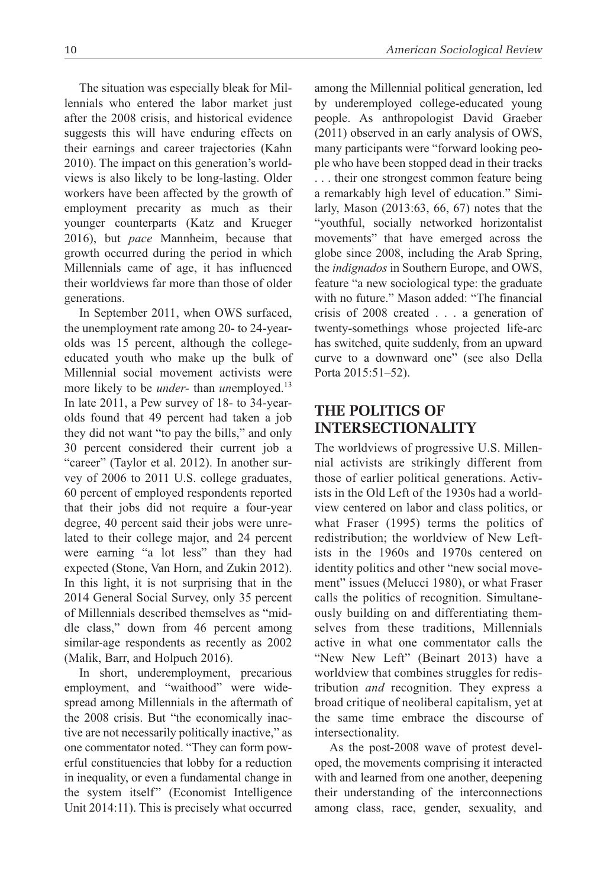The situation was especially bleak for Millennials who entered the labor market just after the 2008 crisis, and historical evidence suggests this will have enduring effects on their earnings and career trajectories (Kahn 2010). The impact on this generation's worldviews is also likely to be long-lasting. Older workers have been affected by the growth of employment precarity as much as their younger counterparts (Katz and Krueger 2016), but *pace* Mannheim, because that growth occurred during the period in which Millennials came of age, it has influenced their worldviews far more than those of older generations.

In September 2011, when OWS surfaced, the unemployment rate among 20- to 24-yearolds was 15 percent, although the collegeeducated youth who make up the bulk of Millennial social movement activists were more likely to be *under*- than *un*employed.<sup>13</sup> In late 2011, a Pew survey of 18- to 34-yearolds found that 49 percent had taken a job they did not want "to pay the bills," and only 30 percent considered their current job a "career" (Taylor et al. 2012). In another survey of 2006 to 2011 U.S. college graduates, 60 percent of employed respondents reported that their jobs did not require a four-year degree, 40 percent said their jobs were unrelated to their college major, and 24 percent were earning "a lot less" than they had expected (Stone, Van Horn, and Zukin 2012). In this light, it is not surprising that in the 2014 General Social Survey, only 35 percent of Millennials described themselves as "middle class," down from 46 percent among similar-age respondents as recently as 2002 (Malik, Barr, and Holpuch 2016).

In short, underemployment, precarious employment, and "waithood" were widespread among Millennials in the aftermath of the 2008 crisis. But "the economically inactive are not necessarily politically inactive," as one commentator noted. "They can form powerful constituencies that lobby for a reduction in inequality, or even a fundamental change in the system itself" (Economist Intelligence Unit 2014:11). This is precisely what occurred

among the Millennial political generation, led by underemployed college-educated young people. As anthropologist David Graeber (2011) observed in an early analysis of OWS, many participants were "forward looking people who have been stopped dead in their tracks . . . their one strongest common feature being a remarkably high level of education." Similarly, Mason (2013:63, 66, 67) notes that the "youthful, socially networked horizontalist movements" that have emerged across the globe since 2008, including the Arab Spring, the *indignados* in Southern Europe, and OWS, feature "a new sociological type: the graduate with no future." Mason added: "The financial crisis of 2008 created . . . a generation of twenty-somethings whose projected life-arc has switched, quite suddenly, from an upward curve to a downward one" (see also Della Porta 2015:51–52).

### **The Politics of Intersectionality**

The worldviews of progressive U.S. Millennial activists are strikingly different from those of earlier political generations. Activists in the Old Left of the 1930s had a worldview centered on labor and class politics, or what Fraser (1995) terms the politics of redistribution; the worldview of New Leftists in the 1960s and 1970s centered on identity politics and other "new social movement" issues (Melucci 1980), or what Fraser calls the politics of recognition. Simultaneously building on and differentiating themselves from these traditions, Millennials active in what one commentator calls the "New New Left" (Beinart 2013) have a worldview that combines struggles for redistribution *and* recognition. They express a broad critique of neoliberal capitalism, yet at the same time embrace the discourse of intersectionality.

As the post-2008 wave of protest developed, the movements comprising it interacted with and learned from one another, deepening their understanding of the interconnections among class, race, gender, sexuality, and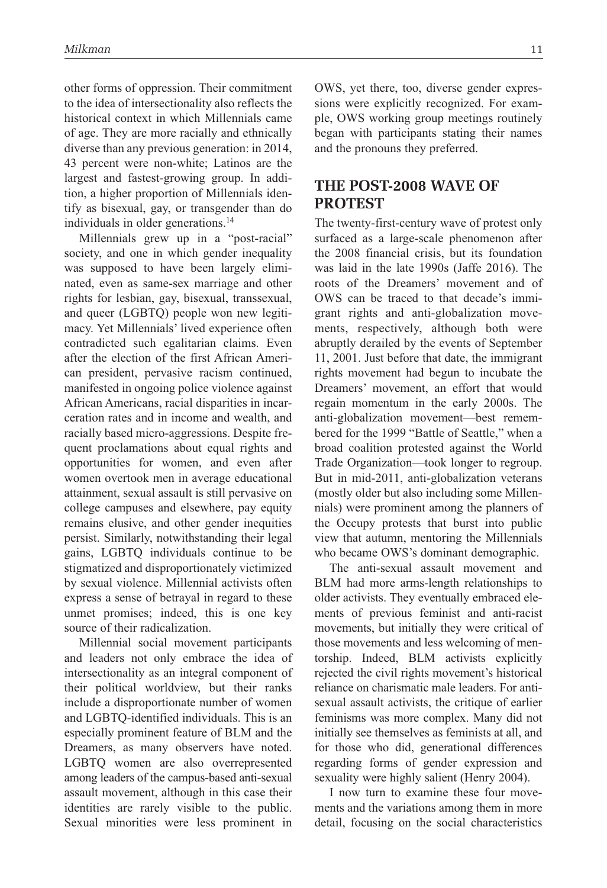other forms of oppression. Their commitment to the idea of intersectionality also reflects the historical context in which Millennials came of age. They are more racially and ethnically diverse than any previous generation: in 2014, 43 percent were non-white; Latinos are the largest and fastest-growing group. In addition, a higher proportion of Millennials identify as bisexual, gay, or transgender than do individuals in older generations.<sup>14</sup>

Millennials grew up in a "post-racial" society, and one in which gender inequality was supposed to have been largely eliminated, even as same-sex marriage and other rights for lesbian, gay, bisexual, transsexual, and queer (LGBTQ) people won new legitimacy. Yet Millennials' lived experience often contradicted such egalitarian claims. Even after the election of the first African American president, pervasive racism continued, manifested in ongoing police violence against African Americans, racial disparities in incarceration rates and in income and wealth, and racially based micro-aggressions. Despite frequent proclamations about equal rights and opportunities for women, and even after women overtook men in average educational attainment, sexual assault is still pervasive on college campuses and elsewhere, pay equity remains elusive, and other gender inequities persist. Similarly, notwithstanding their legal gains, LGBTQ individuals continue to be stigmatized and disproportionately victimized by sexual violence. Millennial activists often express a sense of betrayal in regard to these unmet promises; indeed, this is one key source of their radicalization.

Millennial social movement participants and leaders not only embrace the idea of intersectionality as an integral component of their political worldview, but their ranks include a disproportionate number of women and LGBTQ-identified individuals. This is an especially prominent feature of BLM and the Dreamers, as many observers have noted. LGBTQ women are also overrepresented among leaders of the campus-based anti-sexual assault movement, although in this case their identities are rarely visible to the public. Sexual minorities were less prominent in

OWS, yet there, too, diverse gender expressions were explicitly recognized. For example, OWS working group meetings routinely began with participants stating their names and the pronouns they preferred.

### **The Post-2008 Wave of PROTEST**

The twenty-first-century wave of protest only surfaced as a large-scale phenomenon after the 2008 financial crisis, but its foundation was laid in the late 1990s (Jaffe 2016). The roots of the Dreamers' movement and of OWS can be traced to that decade's immigrant rights and anti-globalization movements, respectively, although both were abruptly derailed by the events of September 11, 2001. Just before that date, the immigrant rights movement had begun to incubate the Dreamers' movement, an effort that would regain momentum in the early 2000s. The anti-globalization movement—best remembered for the 1999 "Battle of Seattle," when a broad coalition protested against the World Trade Organization—took longer to regroup. But in mid-2011, anti-globalization veterans (mostly older but also including some Millennials) were prominent among the planners of the Occupy protests that burst into public view that autumn, mentoring the Millennials who became OWS's dominant demographic.

The anti-sexual assault movement and BLM had more arms-length relationships to older activists. They eventually embraced elements of previous feminist and anti-racist movements, but initially they were critical of those movements and less welcoming of mentorship. Indeed, BLM activists explicitly rejected the civil rights movement's historical reliance on charismatic male leaders. For antisexual assault activists, the critique of earlier feminisms was more complex. Many did not initially see themselves as feminists at all, and for those who did, generational differences regarding forms of gender expression and sexuality were highly salient (Henry 2004).

I now turn to examine these four movements and the variations among them in more detail, focusing on the social characteristics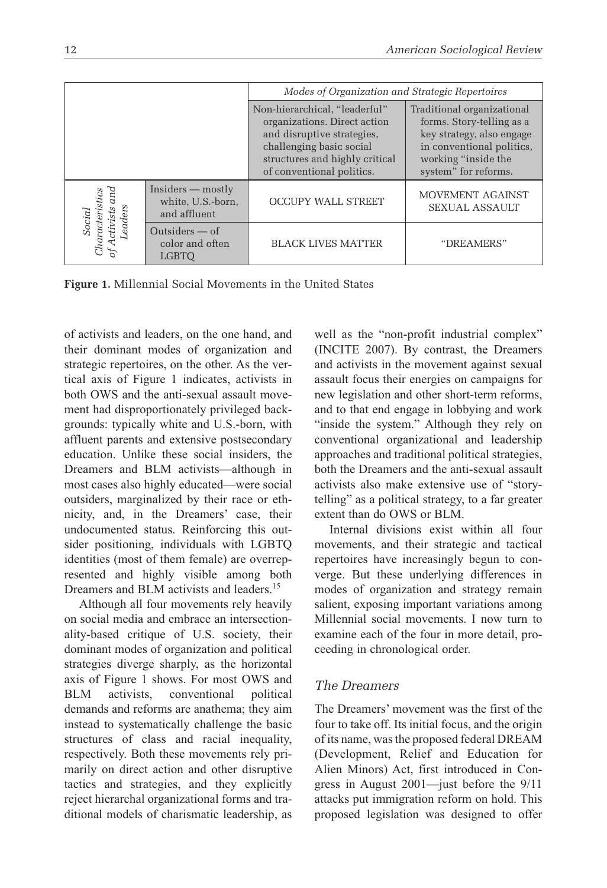|                                                        |                                                          | Modes of Organization and Strategic Repertoires                                                                                                                                        |                                                                                                                                                                  |
|--------------------------------------------------------|----------------------------------------------------------|----------------------------------------------------------------------------------------------------------------------------------------------------------------------------------------|------------------------------------------------------------------------------------------------------------------------------------------------------------------|
|                                                        |                                                          | Non-hierarchical, "leaderful"<br>organizations. Direct action<br>and disruptive strategies,<br>challenging basic social<br>structures and highly critical<br>of conventional politics. | Traditional organizational<br>forms. Story-telling as a<br>key strategy, also engage<br>in conventional politics,<br>working "inside the<br>system" for reforms. |
| and<br>naracteristics<br>Leaders<br>ctivists<br>Social | $Insiders$ — mostly<br>white, U.S.-born,<br>and affluent | <b>OCCUPY WALL STREET</b>                                                                                                                                                              | MOVEMENT AGAINST<br><b>SEXUAL ASSAULT</b>                                                                                                                        |
|                                                        | Outsiders $-$ of<br>color and often<br>LGBTO             | <b>BLACK LIVES MATTER</b>                                                                                                                                                              | "DREAMERS"                                                                                                                                                       |

**Figure 1.** Millennial Social Movements in the United States

of activists and leaders, on the one hand, and their dominant modes of organization and strategic repertoires, on the other. As the vertical axis of Figure 1 indicates, activists in both OWS and the anti-sexual assault movement had disproportionately privileged backgrounds: typically white and U.S.-born, with affluent parents and extensive postsecondary education. Unlike these social insiders, the Dreamers and BLM activists—although in most cases also highly educated—were social outsiders, marginalized by their race or ethnicity, and, in the Dreamers' case, their undocumented status. Reinforcing this outsider positioning, individuals with LGBTQ identities (most of them female) are overrepresented and highly visible among both Dreamers and BLM activists and leaders.<sup>15</sup>

Although all four movements rely heavily on social media and embrace an intersectionality-based critique of U.S. society, their dominant modes of organization and political strategies diverge sharply, as the horizontal axis of Figure 1 shows. For most OWS and BLM activists, conventional political demands and reforms are anathema; they aim instead to systematically challenge the basic structures of class and racial inequality, respectively. Both these movements rely primarily on direct action and other disruptive tactics and strategies, and they explicitly reject hierarchal organizational forms and traditional models of charismatic leadership, as well as the "non-profit industrial complex" (INCITE 2007). By contrast, the Dreamers and activists in the movement against sexual assault focus their energies on campaigns for new legislation and other short-term reforms, and to that end engage in lobbying and work "inside the system." Although they rely on conventional organizational and leadership approaches and traditional political strategies, both the Dreamers and the anti-sexual assault activists also make extensive use of "storytelling" as a political strategy, to a far greater extent than do OWS or BLM.

Internal divisions exist within all four movements, and their strategic and tactical repertoires have increasingly begun to converge. But these underlying differences in modes of organization and strategy remain salient, exposing important variations among Millennial social movements. I now turn to examine each of the four in more detail, proceeding in chronological order.

#### *The Dreamers*

The Dreamers' movement was the first of the four to take off. Its initial focus, and the origin of its name, was the proposed federal DREAM (Development, Relief and Education for Alien Minors) Act, first introduced in Congress in August 2001—just before the 9/11 attacks put immigration reform on hold. This proposed legislation was designed to offer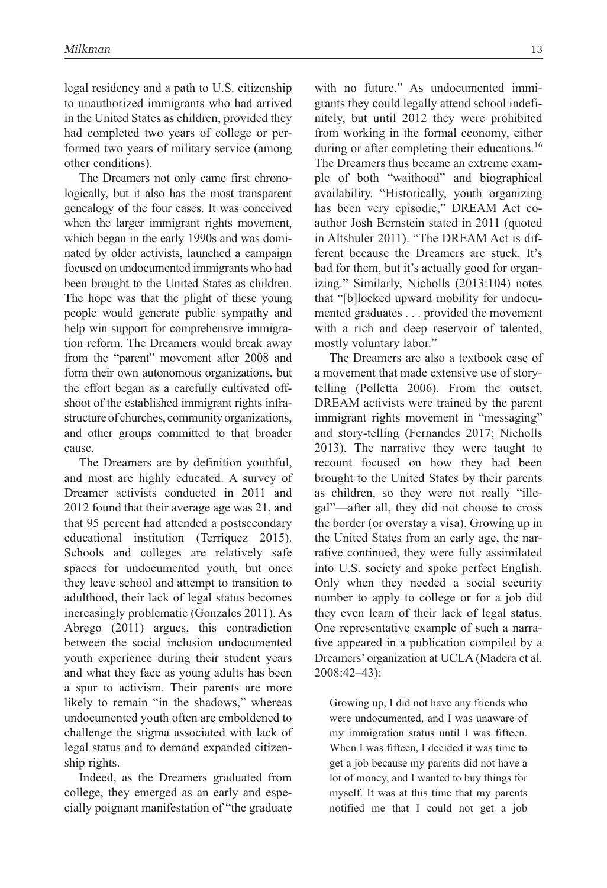legal residency and a path to U.S. citizenship to unauthorized immigrants who had arrived in the United States as children, provided they had completed two years of college or performed two years of military service (among other conditions).

The Dreamers not only came first chronologically, but it also has the most transparent genealogy of the four cases. It was conceived when the larger immigrant rights movement, which began in the early 1990s and was dominated by older activists, launched a campaign focused on undocumented immigrants who had been brought to the United States as children. The hope was that the plight of these young people would generate public sympathy and help win support for comprehensive immigration reform. The Dreamers would break away from the "parent" movement after 2008 and form their own autonomous organizations, but the effort began as a carefully cultivated offshoot of the established immigrant rights infrastructure of churches, community organizations, and other groups committed to that broader cause.

The Dreamers are by definition youthful, and most are highly educated. A survey of Dreamer activists conducted in 2011 and 2012 found that their average age was 21, and that 95 percent had attended a postsecondary educational institution (Terriquez 2015). Schools and colleges are relatively safe spaces for undocumented youth, but once they leave school and attempt to transition to adulthood, their lack of legal status becomes increasingly problematic (Gonzales 2011). As Abrego (2011) argues, this contradiction between the social inclusion undocumented youth experience during their student years and what they face as young adults has been a spur to activism. Their parents are more likely to remain "in the shadows," whereas undocumented youth often are emboldened to challenge the stigma associated with lack of legal status and to demand expanded citizenship rights.

Indeed, as the Dreamers graduated from college, they emerged as an early and especially poignant manifestation of "the graduate with no future." As undocumented immigrants they could legally attend school indefinitely, but until 2012 they were prohibited from working in the formal economy, either during or after completing their educations.<sup>16</sup> The Dreamers thus became an extreme example of both "waithood" and biographical availability. "Historically, youth organizing has been very episodic," DREAM Act coauthor Josh Bernstein stated in 2011 (quoted in Altshuler 2011). "The DREAM Act is different because the Dreamers are stuck. It's bad for them, but it's actually good for organizing." Similarly, Nicholls (2013:104) notes that "[b]locked upward mobility for undocumented graduates . . . provided the movement with a rich and deep reservoir of talented, mostly voluntary labor."

The Dreamers are also a textbook case of a movement that made extensive use of storytelling (Polletta 2006). From the outset, DREAM activists were trained by the parent immigrant rights movement in "messaging" and story-telling (Fernandes 2017; Nicholls 2013). The narrative they were taught to recount focused on how they had been brought to the United States by their parents as children, so they were not really "illegal"—after all, they did not choose to cross the border (or overstay a visa). Growing up in the United States from an early age, the narrative continued, they were fully assimilated into U.S. society and spoke perfect English. Only when they needed a social security number to apply to college or for a job did they even learn of their lack of legal status. One representative example of such a narrative appeared in a publication compiled by a Dreamers' organization at UCLA (Madera et al. 2008:42–43):

Growing up, I did not have any friends who were undocumented, and I was unaware of my immigration status until I was fifteen. When I was fifteen, I decided it was time to get a job because my parents did not have a lot of money, and I wanted to buy things for myself. It was at this time that my parents notified me that I could not get a job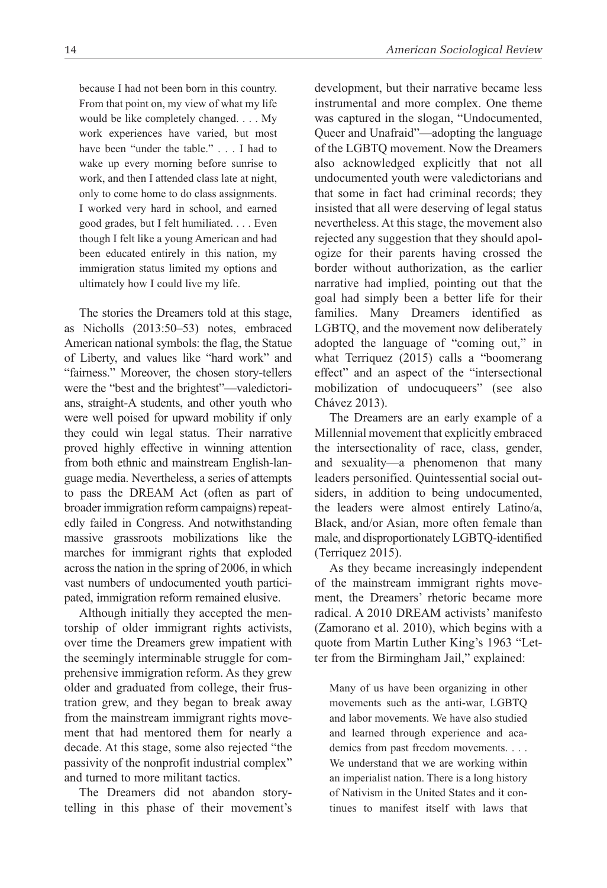because I had not been born in this country. From that point on, my view of what my life would be like completely changed. . . . My work experiences have varied, but most have been "under the table." . . . I had to wake up every morning before sunrise to work, and then I attended class late at night, only to come home to do class assignments. I worked very hard in school, and earned good grades, but I felt humiliated. . . . Even though I felt like a young American and had been educated entirely in this nation, my immigration status limited my options and ultimately how I could live my life.

The stories the Dreamers told at this stage, as Nicholls (2013:50–53) notes, embraced American national symbols: the flag, the Statue of Liberty, and values like "hard work" and "fairness." Moreover, the chosen story-tellers were the "best and the brightest"—valedictorians, straight-A students, and other youth who were well poised for upward mobility if only they could win legal status. Their narrative proved highly effective in winning attention from both ethnic and mainstream English-language media. Nevertheless, a series of attempts to pass the DREAM Act (often as part of broader immigration reform campaigns) repeatedly failed in Congress. And notwithstanding massive grassroots mobilizations like the marches for immigrant rights that exploded across the nation in the spring of 2006, in which vast numbers of undocumented youth participated, immigration reform remained elusive.

Although initially they accepted the mentorship of older immigrant rights activists, over time the Dreamers grew impatient with the seemingly interminable struggle for comprehensive immigration reform. As they grew older and graduated from college, their frustration grew, and they began to break away from the mainstream immigrant rights movement that had mentored them for nearly a decade. At this stage, some also rejected "the passivity of the nonprofit industrial complex" and turned to more militant tactics.

The Dreamers did not abandon storytelling in this phase of their movement's development, but their narrative became less instrumental and more complex. One theme was captured in the slogan, "Undocumented, Queer and Unafraid"—adopting the language of the LGBTQ movement. Now the Dreamers also acknowledged explicitly that not all undocumented youth were valedictorians and that some in fact had criminal records; they insisted that all were deserving of legal status nevertheless. At this stage, the movement also rejected any suggestion that they should apologize for their parents having crossed the border without authorization, as the earlier narrative had implied, pointing out that the goal had simply been a better life for their families. Many Dreamers identified as LGBTQ, and the movement now deliberately adopted the language of "coming out," in what Terriquez (2015) calls a "boomerang effect" and an aspect of the "intersectional mobilization of undocuqueers" (see also Chávez 2013).

The Dreamers are an early example of a Millennial movement that explicitly embraced the intersectionality of race, class, gender, and sexuality—a phenomenon that many leaders personified. Quintessential social outsiders, in addition to being undocumented, the leaders were almost entirely Latino/a, Black, and/or Asian, more often female than male, and disproportionately LGBTQ-identified (Terriquez 2015).

As they became increasingly independent of the mainstream immigrant rights movement, the Dreamers' rhetoric became more radical. A 2010 DREAM activists' manifesto (Zamorano et al. 2010), which begins with a quote from Martin Luther King's 1963 "Letter from the Birmingham Jail," explained:

Many of us have been organizing in other movements such as the anti-war, LGBTQ and labor movements. We have also studied and learned through experience and academics from past freedom movements. . . . We understand that we are working within an imperialist nation. There is a long history of Nativism in the United States and it continues to manifest itself with laws that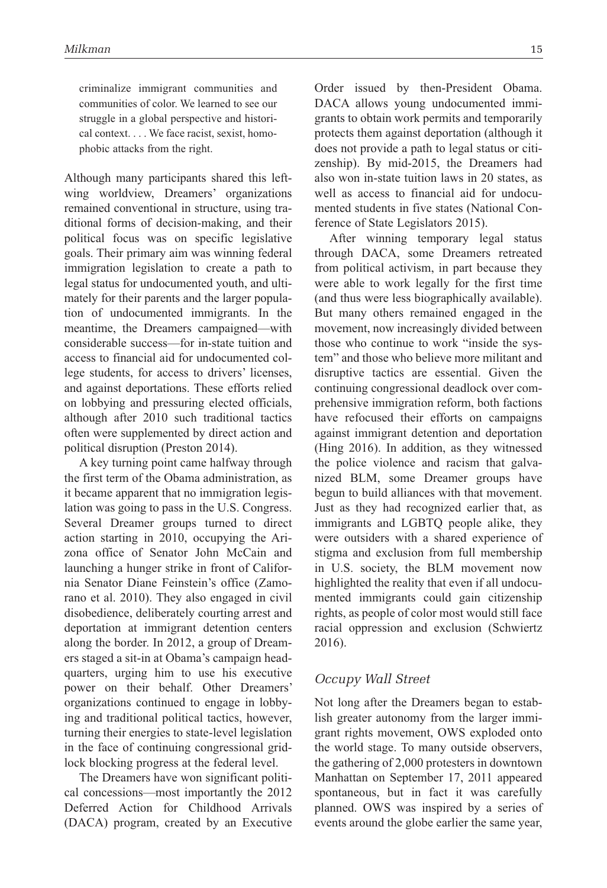criminalize immigrant communities and communities of color. We learned to see our struggle in a global perspective and historical context. . . . We face racist, sexist, homophobic attacks from the right.

Although many participants shared this leftwing worldview, Dreamers' organizations remained conventional in structure, using traditional forms of decision-making, and their political focus was on specific legislative goals. Their primary aim was winning federal immigration legislation to create a path to legal status for undocumented youth, and ultimately for their parents and the larger population of undocumented immigrants. In the meantime, the Dreamers campaigned—with considerable success—for in-state tuition and access to financial aid for undocumented college students, for access to drivers' licenses, and against deportations. These efforts relied on lobbying and pressuring elected officials, although after 2010 such traditional tactics often were supplemented by direct action and political disruption (Preston 2014).

A key turning point came halfway through the first term of the Obama administration, as it became apparent that no immigration legislation was going to pass in the U.S. Congress. Several Dreamer groups turned to direct action starting in 2010, occupying the Arizona office of Senator John McCain and launching a hunger strike in front of California Senator Diane Feinstein's office (Zamorano et al. 2010). They also engaged in civil disobedience, deliberately courting arrest and deportation at immigrant detention centers along the border. In 2012, a group of Dreamers staged a sit-in at Obama's campaign headquarters, urging him to use his executive power on their behalf. Other Dreamers' organizations continued to engage in lobbying and traditional political tactics, however, turning their energies to state-level legislation in the face of continuing congressional gridlock blocking progress at the federal level.

The Dreamers have won significant political concessions—most importantly the 2012 Deferred Action for Childhood Arrivals (DACA) program, created by an Executive Order issued by then-President Obama. DACA allows young undocumented immigrants to obtain work permits and temporarily protects them against deportation (although it does not provide a path to legal status or citizenship). By mid-2015, the Dreamers had also won in-state tuition laws in 20 states, as well as access to financial aid for undocumented students in five states (National Conference of State Legislators 2015).

After winning temporary legal status through DACA, some Dreamers retreated from political activism, in part because they were able to work legally for the first time (and thus were less biographically available). But many others remained engaged in the movement, now increasingly divided between those who continue to work "inside the system" and those who believe more militant and disruptive tactics are essential. Given the continuing congressional deadlock over comprehensive immigration reform, both factions have refocused their efforts on campaigns against immigrant detention and deportation (Hing 2016). In addition, as they witnessed the police violence and racism that galvanized BLM, some Dreamer groups have begun to build alliances with that movement. Just as they had recognized earlier that, as immigrants and LGBTQ people alike, they were outsiders with a shared experience of stigma and exclusion from full membership in U.S. society, the BLM movement now highlighted the reality that even if all undocumented immigrants could gain citizenship rights, as people of color most would still face racial oppression and exclusion (Schwiertz 2016).

#### *Occupy Wall Street*

Not long after the Dreamers began to establish greater autonomy from the larger immigrant rights movement, OWS exploded onto the world stage. To many outside observers, the gathering of 2,000 protesters in downtown Manhattan on September 17, 2011 appeared spontaneous, but in fact it was carefully planned. OWS was inspired by a series of events around the globe earlier the same year,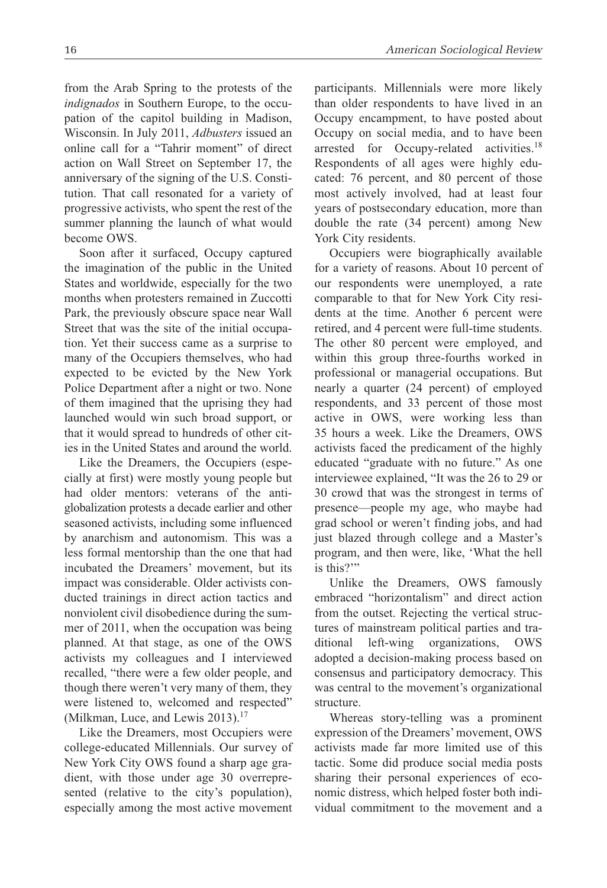from the Arab Spring to the protests of the *indignados* in Southern Europe, to the occupation of the capitol building in Madison, Wisconsin. In July 2011, *Adbusters* issued an online call for a "Tahrir moment" of direct action on Wall Street on September 17, the anniversary of the signing of the U.S. Constitution. That call resonated for a variety of progressive activists, who spent the rest of the summer planning the launch of what would become OWS.

Soon after it surfaced, Occupy captured the imagination of the public in the United States and worldwide, especially for the two months when protesters remained in Zuccotti Park, the previously obscure space near Wall Street that was the site of the initial occupation. Yet their success came as a surprise to many of the Occupiers themselves, who had expected to be evicted by the New York Police Department after a night or two. None of them imagined that the uprising they had launched would win such broad support, or that it would spread to hundreds of other cities in the United States and around the world.

Like the Dreamers, the Occupiers (especially at first) were mostly young people but had older mentors: veterans of the antiglobalization protests a decade earlier and other seasoned activists, including some influenced by anarchism and autonomism. This was a less formal mentorship than the one that had incubated the Dreamers' movement, but its impact was considerable. Older activists conducted trainings in direct action tactics and nonviolent civil disobedience during the summer of 2011, when the occupation was being planned. At that stage, as one of the OWS activists my colleagues and I interviewed recalled, "there were a few older people, and though there weren't very many of them, they were listened to, welcomed and respected" (Milkman, Luce, and Lewis 2013).<sup>17</sup>

Like the Dreamers, most Occupiers were college-educated Millennials. Our survey of New York City OWS found a sharp age gradient, with those under age 30 overrepresented (relative to the city's population), especially among the most active movement participants. Millennials were more likely than older respondents to have lived in an Occupy encampment, to have posted about Occupy on social media, and to have been arrested for Occupy-related activities.18 Respondents of all ages were highly educated: 76 percent, and 80 percent of those most actively involved, had at least four years of postsecondary education, more than double the rate (34 percent) among New York City residents.

Occupiers were biographically available for a variety of reasons. About 10 percent of our respondents were unemployed, a rate comparable to that for New York City residents at the time. Another 6 percent were retired, and 4 percent were full-time students. The other 80 percent were employed, and within this group three-fourths worked in professional or managerial occupations. But nearly a quarter (24 percent) of employed respondents, and 33 percent of those most active in OWS, were working less than 35 hours a week. Like the Dreamers, OWS activists faced the predicament of the highly educated "graduate with no future." As one interviewee explained, "It was the 26 to 29 or 30 crowd that was the strongest in terms of presence—people my age, who maybe had grad school or weren't finding jobs, and had just blazed through college and a Master's program, and then were, like, 'What the hell is this?'"

Unlike the Dreamers, OWS famously embraced "horizontalism" and direct action from the outset. Rejecting the vertical structures of mainstream political parties and traditional left-wing organizations, OWS adopted a decision-making process based on consensus and participatory democracy. This was central to the movement's organizational structure.

Whereas story-telling was a prominent expression of the Dreamers' movement, OWS activists made far more limited use of this tactic. Some did produce social media posts sharing their personal experiences of economic distress, which helped foster both individual commitment to the movement and a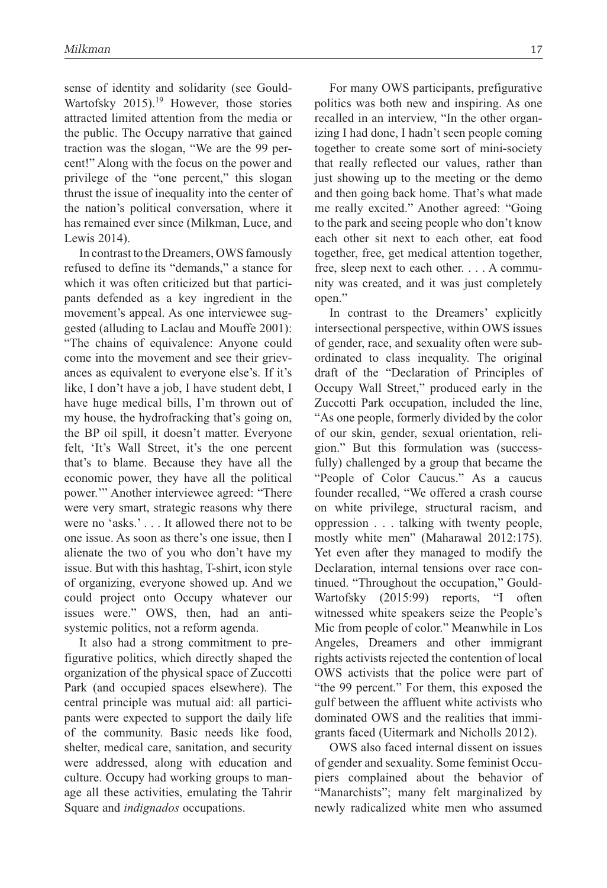sense of identity and solidarity (see Gould-Wartofsky 2015).<sup>19</sup> However, those stories attracted limited attention from the media or the public. The Occupy narrative that gained traction was the slogan, "We are the 99 percent!" Along with the focus on the power and privilege of the "one percent," this slogan thrust the issue of inequality into the center of the nation's political conversation, where it has remained ever since (Milkman, Luce, and Lewis 2014).

In contrast to the Dreamers, OWS famously refused to define its "demands," a stance for which it was often criticized but that participants defended as a key ingredient in the movement's appeal. As one interviewee suggested (alluding to Laclau and Mouffe 2001): "The chains of equivalence: Anyone could come into the movement and see their grievances as equivalent to everyone else's. If it's like, I don't have a job, I have student debt, I have huge medical bills, I'm thrown out of my house, the hydrofracking that's going on, the BP oil spill, it doesn't matter. Everyone felt, 'It's Wall Street, it's the one percent that's to blame. Because they have all the economic power, they have all the political power.'" Another interviewee agreed: "There were very smart, strategic reasons why there were no 'asks.' . . . It allowed there not to be one issue. As soon as there's one issue, then I alienate the two of you who don't have my issue. But with this hashtag, T-shirt, icon style of organizing, everyone showed up. And we could project onto Occupy whatever our issues were." OWS, then, had an antisystemic politics, not a reform agenda.

It also had a strong commitment to prefigurative politics, which directly shaped the organization of the physical space of Zuccotti Park (and occupied spaces elsewhere). The central principle was mutual aid: all participants were expected to support the daily life of the community. Basic needs like food, shelter, medical care, sanitation, and security were addressed, along with education and culture. Occupy had working groups to manage all these activities, emulating the Tahrir Square and *indignados* occupations.

For many OWS participants, prefigurative politics was both new and inspiring. As one recalled in an interview, "In the other organizing I had done, I hadn't seen people coming together to create some sort of mini-society that really reflected our values, rather than just showing up to the meeting or the demo and then going back home. That's what made me really excited." Another agreed: "Going to the park and seeing people who don't know each other sit next to each other, eat food together, free, get medical attention together, free, sleep next to each other. . . . A community was created, and it was just completely open."

In contrast to the Dreamers' explicitly intersectional perspective, within OWS issues of gender, race, and sexuality often were subordinated to class inequality. The original draft of the "Declaration of Principles of Occupy Wall Street," produced early in the Zuccotti Park occupation, included the line, "As one people, formerly divided by the color of our skin, gender, sexual orientation, religion." But this formulation was (successfully) challenged by a group that became the "People of Color Caucus." As a caucus founder recalled, "We offered a crash course on white privilege, structural racism, and oppression . . . talking with twenty people, mostly white men" (Maharawal 2012:175). Yet even after they managed to modify the Declaration, internal tensions over race continued. "Throughout the occupation," Gould-Wartofsky (2015:99) reports, "I often witnessed white speakers seize the People's Mic from people of color." Meanwhile in Los Angeles, Dreamers and other immigrant rights activists rejected the contention of local OWS activists that the police were part of "the 99 percent." For them, this exposed the gulf between the affluent white activists who dominated OWS and the realities that immigrants faced (Uitermark and Nicholls 2012).

OWS also faced internal dissent on issues of gender and sexuality. Some feminist Occupiers complained about the behavior of "Manarchists"; many felt marginalized by newly radicalized white men who assumed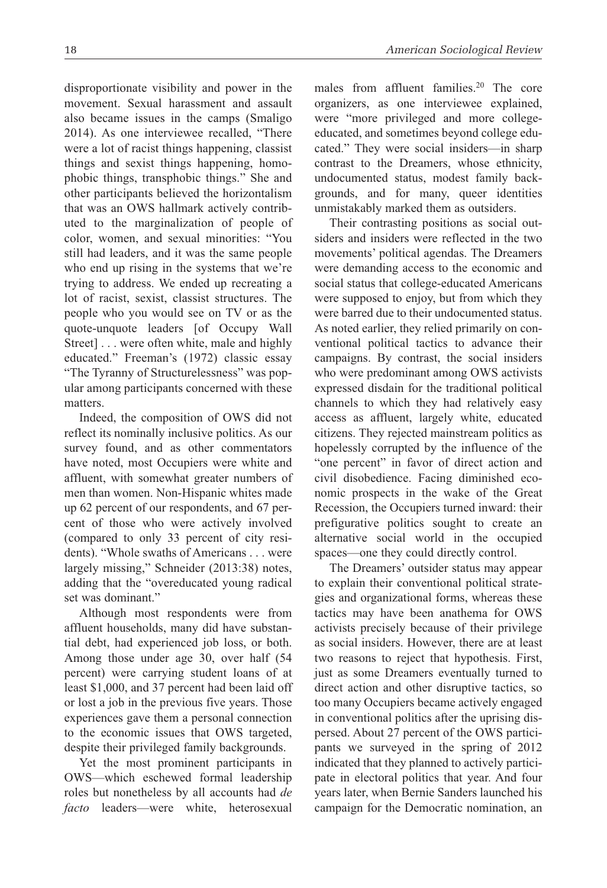disproportionate visibility and power in the movement. Sexual harassment and assault also became issues in the camps (Smaligo 2014). As one interviewee recalled, "There were a lot of racist things happening, classist things and sexist things happening, homophobic things, transphobic things." She and other participants believed the horizontalism that was an OWS hallmark actively contributed to the marginalization of people of color, women, and sexual minorities: "You still had leaders, and it was the same people who end up rising in the systems that we're trying to address. We ended up recreating a lot of racist, sexist, classist structures. The people who you would see on TV or as the quote-unquote leaders [of Occupy Wall Street] . . . were often white, male and highly educated." Freeman's (1972) classic essay "The Tyranny of Structurelessness" was popular among participants concerned with these matters.

Indeed, the composition of OWS did not reflect its nominally inclusive politics. As our survey found, and as other commentators have noted, most Occupiers were white and affluent, with somewhat greater numbers of men than women. Non-Hispanic whites made up 62 percent of our respondents, and 67 percent of those who were actively involved (compared to only 33 percent of city residents). "Whole swaths of Americans . . . were largely missing," Schneider (2013:38) notes, adding that the "overeducated young radical set was dominant."

Although most respondents were from affluent households, many did have substantial debt, had experienced job loss, or both. Among those under age 30, over half (54 percent) were carrying student loans of at least \$1,000, and 37 percent had been laid off or lost a job in the previous five years. Those experiences gave them a personal connection to the economic issues that OWS targeted, despite their privileged family backgrounds.

Yet the most prominent participants in OWS—which eschewed formal leadership roles but nonetheless by all accounts had *de facto* leaders—were white, heterosexual males from affluent families.<sup>20</sup> The core organizers, as one interviewee explained, were "more privileged and more collegeeducated, and sometimes beyond college educated." They were social insiders—in sharp contrast to the Dreamers, whose ethnicity, undocumented status, modest family backgrounds, and for many, queer identities unmistakably marked them as outsiders.

Their contrasting positions as social outsiders and insiders were reflected in the two movements' political agendas. The Dreamers were demanding access to the economic and social status that college-educated Americans were supposed to enjoy, but from which they were barred due to their undocumented status. As noted earlier, they relied primarily on conventional political tactics to advance their campaigns. By contrast, the social insiders who were predominant among OWS activists expressed disdain for the traditional political channels to which they had relatively easy access as affluent, largely white, educated citizens. They rejected mainstream politics as hopelessly corrupted by the influence of the "one percent" in favor of direct action and civil disobedience. Facing diminished economic prospects in the wake of the Great Recession, the Occupiers turned inward: their prefigurative politics sought to create an alternative social world in the occupied spaces—one they could directly control.

The Dreamers' outsider status may appear to explain their conventional political strategies and organizational forms, whereas these tactics may have been anathema for OWS activists precisely because of their privilege as social insiders. However, there are at least two reasons to reject that hypothesis. First, just as some Dreamers eventually turned to direct action and other disruptive tactics, so too many Occupiers became actively engaged in conventional politics after the uprising dispersed. About 27 percent of the OWS participants we surveyed in the spring of 2012 indicated that they planned to actively participate in electoral politics that year. And four years later, when Bernie Sanders launched his campaign for the Democratic nomination, an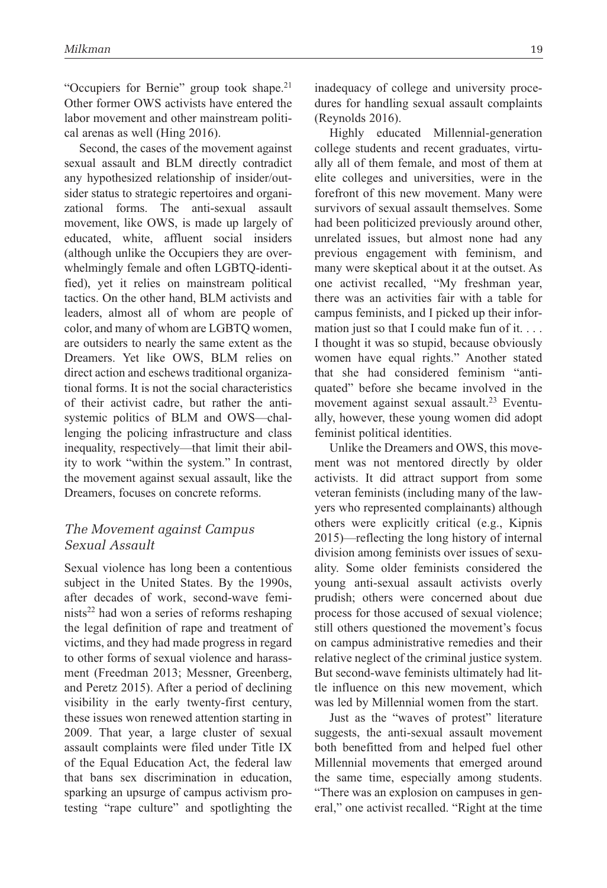"Occupiers for Bernie" group took shape.<sup>21</sup> Other former OWS activists have entered the labor movement and other mainstream political arenas as well (Hing 2016).

Second, the cases of the movement against sexual assault and BLM directly contradict any hypothesized relationship of insider/outsider status to strategic repertoires and organizational forms. The anti-sexual assault movement, like OWS, is made up largely of educated, white, affluent social insiders (although unlike the Occupiers they are overwhelmingly female and often LGBTQ-identified), yet it relies on mainstream political tactics. On the other hand, BLM activists and leaders, almost all of whom are people of color, and many of whom are LGBTQ women, are outsiders to nearly the same extent as the Dreamers. Yet like OWS, BLM relies on direct action and eschews traditional organizational forms. It is not the social characteristics of their activist cadre, but rather the antisystemic politics of BLM and OWS—challenging the policing infrastructure and class inequality, respectively—that limit their ability to work "within the system." In contrast, the movement against sexual assault, like the Dreamers, focuses on concrete reforms.

#### *The Movement against Campus Sexual Assault*

Sexual violence has long been a contentious subject in the United States. By the 1990s, after decades of work, second-wave feminists<sup>22</sup> had won a series of reforms reshaping the legal definition of rape and treatment of victims, and they had made progress in regard to other forms of sexual violence and harassment (Freedman 2013; Messner, Greenberg, and Peretz 2015). After a period of declining visibility in the early twenty-first century, these issues won renewed attention starting in 2009. That year, a large cluster of sexual assault complaints were filed under Title IX of the Equal Education Act, the federal law that bans sex discrimination in education, sparking an upsurge of campus activism protesting "rape culture" and spotlighting the

inadequacy of college and university procedures for handling sexual assault complaints (Reynolds 2016).

Highly educated Millennial-generation college students and recent graduates, virtually all of them female, and most of them at elite colleges and universities, were in the forefront of this new movement. Many were survivors of sexual assault themselves. Some had been politicized previously around other, unrelated issues, but almost none had any previous engagement with feminism, and many were skeptical about it at the outset. As one activist recalled, "My freshman year, there was an activities fair with a table for campus feminists, and I picked up their information just so that I could make fun of it. . . . I thought it was so stupid, because obviously women have equal rights." Another stated that she had considered feminism "antiquated" before she became involved in the movement against sexual assault.<sup>23</sup> Eventually, however, these young women did adopt feminist political identities.

Unlike the Dreamers and OWS, this movement was not mentored directly by older activists. It did attract support from some veteran feminists (including many of the lawyers who represented complainants) although others were explicitly critical (e.g., Kipnis 2015)—reflecting the long history of internal division among feminists over issues of sexuality. Some older feminists considered the young anti-sexual assault activists overly prudish; others were concerned about due process for those accused of sexual violence; still others questioned the movement's focus on campus administrative remedies and their relative neglect of the criminal justice system. But second-wave feminists ultimately had little influence on this new movement, which was led by Millennial women from the start.

Just as the "waves of protest" literature suggests, the anti-sexual assault movement both benefitted from and helped fuel other Millennial movements that emerged around the same time, especially among students. "There was an explosion on campuses in general," one activist recalled. "Right at the time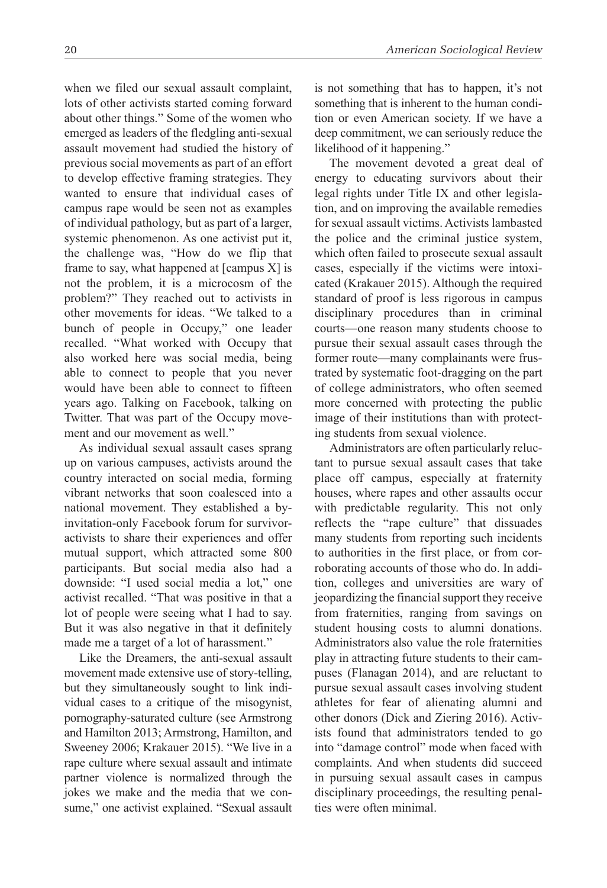when we filed our sexual assault complaint, lots of other activists started coming forward about other things." Some of the women who emerged as leaders of the fledgling anti-sexual assault movement had studied the history of previous social movements as part of an effort to develop effective framing strategies. They wanted to ensure that individual cases of campus rape would be seen not as examples of individual pathology, but as part of a larger, systemic phenomenon. As one activist put it, the challenge was, "How do we flip that frame to say, what happened at [campus X] is not the problem, it is a microcosm of the problem?" They reached out to activists in other movements for ideas. "We talked to a bunch of people in Occupy," one leader recalled. "What worked with Occupy that also worked here was social media, being able to connect to people that you never would have been able to connect to fifteen years ago. Talking on Facebook, talking on Twitter. That was part of the Occupy movement and our movement as well."

As individual sexual assault cases sprang up on various campuses, activists around the country interacted on social media, forming vibrant networks that soon coalesced into a national movement. They established a byinvitation-only Facebook forum for survivoractivists to share their experiences and offer mutual support, which attracted some 800 participants. But social media also had a downside: "I used social media a lot," one activist recalled. "That was positive in that a lot of people were seeing what I had to say. But it was also negative in that it definitely made me a target of a lot of harassment."

Like the Dreamers, the anti-sexual assault movement made extensive use of story-telling, but they simultaneously sought to link individual cases to a critique of the misogynist, pornography-saturated culture (see Armstrong and Hamilton 2013; Armstrong, Hamilton, and Sweeney 2006; Krakauer 2015). "We live in a rape culture where sexual assault and intimate partner violence is normalized through the jokes we make and the media that we consume," one activist explained. "Sexual assault is not something that has to happen, it's not something that is inherent to the human condition or even American society. If we have a deep commitment, we can seriously reduce the likelihood of it happening."

The movement devoted a great deal of energy to educating survivors about their legal rights under Title IX and other legislation, and on improving the available remedies for sexual assault victims. Activists lambasted the police and the criminal justice system, which often failed to prosecute sexual assault cases, especially if the victims were intoxicated (Krakauer 2015). Although the required standard of proof is less rigorous in campus disciplinary procedures than in criminal courts—one reason many students choose to pursue their sexual assault cases through the former route—many complainants were frustrated by systematic foot-dragging on the part of college administrators, who often seemed more concerned with protecting the public image of their institutions than with protecting students from sexual violence.

Administrators are often particularly reluctant to pursue sexual assault cases that take place off campus, especially at fraternity houses, where rapes and other assaults occur with predictable regularity. This not only reflects the "rape culture" that dissuades many students from reporting such incidents to authorities in the first place, or from corroborating accounts of those who do. In addition, colleges and universities are wary of jeopardizing the financial support they receive from fraternities, ranging from savings on student housing costs to alumni donations. Administrators also value the role fraternities play in attracting future students to their campuses (Flanagan 2014), and are reluctant to pursue sexual assault cases involving student athletes for fear of alienating alumni and other donors (Dick and Ziering 2016). Activists found that administrators tended to go into "damage control" mode when faced with complaints. And when students did succeed in pursuing sexual assault cases in campus disciplinary proceedings, the resulting penalties were often minimal.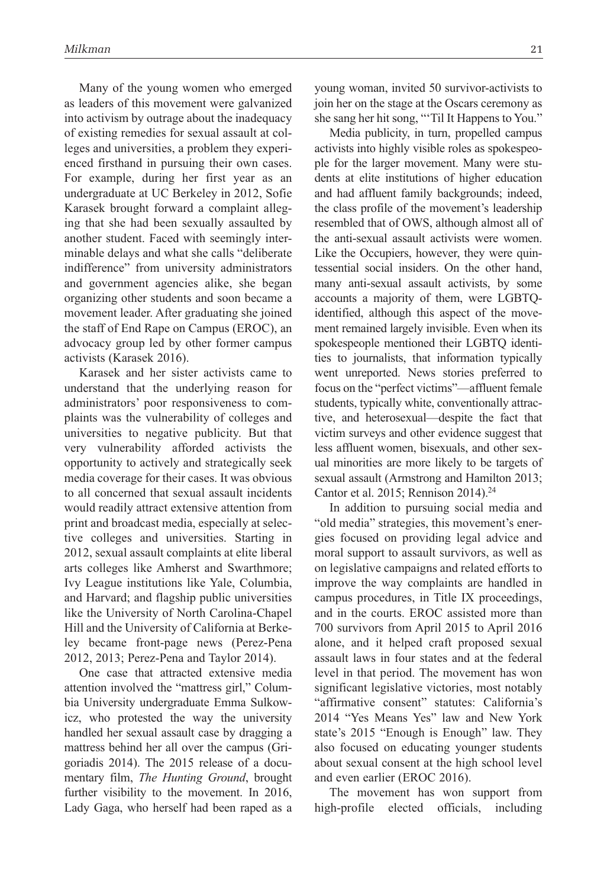Many of the young women who emerged as leaders of this movement were galvanized into activism by outrage about the inadequacy of existing remedies for sexual assault at colleges and universities, a problem they experienced firsthand in pursuing their own cases. For example, during her first year as an undergraduate at UC Berkeley in 2012, Sofie Karasek brought forward a complaint alleging that she had been sexually assaulted by another student. Faced with seemingly interminable delays and what she calls "deliberate indifference" from university administrators and government agencies alike, she began organizing other students and soon became a movement leader. After graduating she joined the staff of End Rape on Campus (EROC), an advocacy group led by other former campus activists (Karasek 2016).

Karasek and her sister activists came to understand that the underlying reason for administrators' poor responsiveness to complaints was the vulnerability of colleges and universities to negative publicity. But that very vulnerability afforded activists the opportunity to actively and strategically seek media coverage for their cases. It was obvious to all concerned that sexual assault incidents would readily attract extensive attention from print and broadcast media, especially at selective colleges and universities. Starting in 2012, sexual assault complaints at elite liberal arts colleges like Amherst and Swarthmore; Ivy League institutions like Yale, Columbia, and Harvard; and flagship public universities like the University of North Carolina-Chapel Hill and the University of California at Berkeley became front-page news (Perez-Pena 2012, 2013; Perez-Pena and Taylor 2014).

One case that attracted extensive media attention involved the "mattress girl," Columbia University undergraduate Emma Sulkowicz, who protested the way the university handled her sexual assault case by dragging a mattress behind her all over the campus (Grigoriadis 2014). The 2015 release of a documentary film, *The Hunting Ground*, brought further visibility to the movement. In 2016, Lady Gaga, who herself had been raped as a young woman, invited 50 survivor-activists to join her on the stage at the Oscars ceremony as she sang her hit song, "'Til It Happens to You."

Media publicity, in turn, propelled campus activists into highly visible roles as spokespeople for the larger movement. Many were students at elite institutions of higher education and had affluent family backgrounds; indeed, the class profile of the movement's leadership resembled that of OWS, although almost all of the anti-sexual assault activists were women. Like the Occupiers, however, they were quintessential social insiders. On the other hand, many anti-sexual assault activists, by some accounts a majority of them, were LGBTQidentified, although this aspect of the movement remained largely invisible. Even when its spokespeople mentioned their LGBTQ identities to journalists, that information typically went unreported. News stories preferred to focus on the "perfect victims"—affluent female students, typically white, conventionally attractive, and heterosexual—despite the fact that victim surveys and other evidence suggest that less affluent women, bisexuals, and other sexual minorities are more likely to be targets of sexual assault (Armstrong and Hamilton 2013; Cantor et al. 2015; Rennison 2014).24

In addition to pursuing social media and "old media" strategies, this movement's energies focused on providing legal advice and moral support to assault survivors, as well as on legislative campaigns and related efforts to improve the way complaints are handled in campus procedures, in Title IX proceedings, and in the courts. EROC assisted more than 700 survivors from April 2015 to April 2016 alone, and it helped craft proposed sexual assault laws in four states and at the federal level in that period. The movement has won significant legislative victories, most notably "affirmative consent" statutes: California's 2014 "Yes Means Yes" law and New York state's 2015 "Enough is Enough" law. They also focused on educating younger students about sexual consent at the high school level and even earlier (EROC 2016).

The movement has won support from high-profile elected officials, including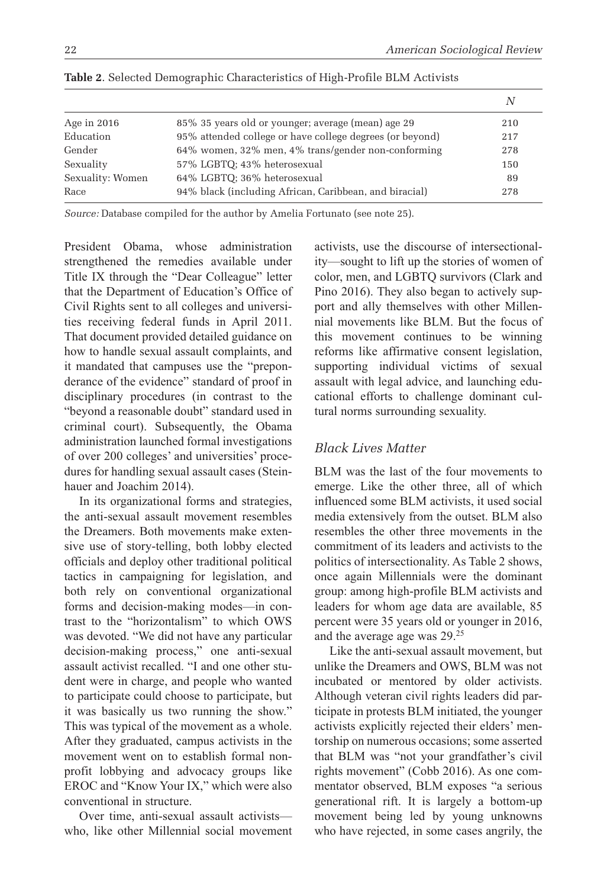*N*

| Age in $2016$    | 85% 35 years old or younger; average (mean) age 29       | 210 |
|------------------|----------------------------------------------------------|-----|
| Education        | 95% attended college or have college degrees (or beyond) | 217 |
| Gender           | 64% women, 32% men, 4% trans/gender non-conforming       | 278 |
| Sexuality        | 57% LGBTQ; 43% heterosexual                              | 150 |
| Sexuality: Women | 64% LGBTO; 36% heterosexual                              | 89  |
| Race             | 94% black (including African, Caribbean, and biracial)   | 278 |

**Table 2**. Selected Demographic Characteristics of High-Profile BLM Activists

*Source:* Database compiled for the author by Amelia Fortunato (see note 25).

President Obama, whose administration strengthened the remedies available under Title IX through the "Dear Colleague" letter that the Department of Education's Office of Civil Rights sent to all colleges and universities receiving federal funds in April 2011. That document provided detailed guidance on how to handle sexual assault complaints, and it mandated that campuses use the "preponderance of the evidence" standard of proof in disciplinary procedures (in contrast to the "beyond a reasonable doubt" standard used in criminal court). Subsequently, the Obama administration launched formal investigations of over 200 colleges' and universities' procedures for handling sexual assault cases (Steinhauer and Joachim 2014).

In its organizational forms and strategies, the anti-sexual assault movement resembles the Dreamers. Both movements make extensive use of story-telling, both lobby elected officials and deploy other traditional political tactics in campaigning for legislation, and both rely on conventional organizational forms and decision-making modes—in contrast to the "horizontalism" to which OWS was devoted. "We did not have any particular decision-making process," one anti-sexual assault activist recalled. "I and one other student were in charge, and people who wanted to participate could choose to participate, but it was basically us two running the show." This was typical of the movement as a whole. After they graduated, campus activists in the movement went on to establish formal nonprofit lobbying and advocacy groups like EROC and "Know Your IX," which were also conventional in structure.

Over time, anti-sexual assault activists who, like other Millennial social movement activists, use the discourse of intersectionality—sought to lift up the stories of women of color, men, and LGBTQ survivors (Clark and Pino 2016). They also began to actively support and ally themselves with other Millennial movements like BLM. But the focus of this movement continues to be winning reforms like affirmative consent legislation, supporting individual victims of sexual assault with legal advice, and launching educational efforts to challenge dominant cultural norms surrounding sexuality.

#### *Black Lives Matter*

BLM was the last of the four movements to emerge. Like the other three, all of which influenced some BLM activists, it used social media extensively from the outset. BLM also resembles the other three movements in the commitment of its leaders and activists to the politics of intersectionality. As Table 2 shows, once again Millennials were the dominant group: among high-profile BLM activists and leaders for whom age data are available, 85 percent were 35 years old or younger in 2016, and the average age was 29.25

Like the anti-sexual assault movement, but unlike the Dreamers and OWS, BLM was not incubated or mentored by older activists. Although veteran civil rights leaders did participate in protests BLM initiated, the younger activists explicitly rejected their elders' mentorship on numerous occasions; some asserted that BLM was "not your grandfather's civil rights movement" (Cobb 2016). As one commentator observed, BLM exposes "a serious generational rift. It is largely a bottom-up movement being led by young unknowns who have rejected, in some cases angrily, the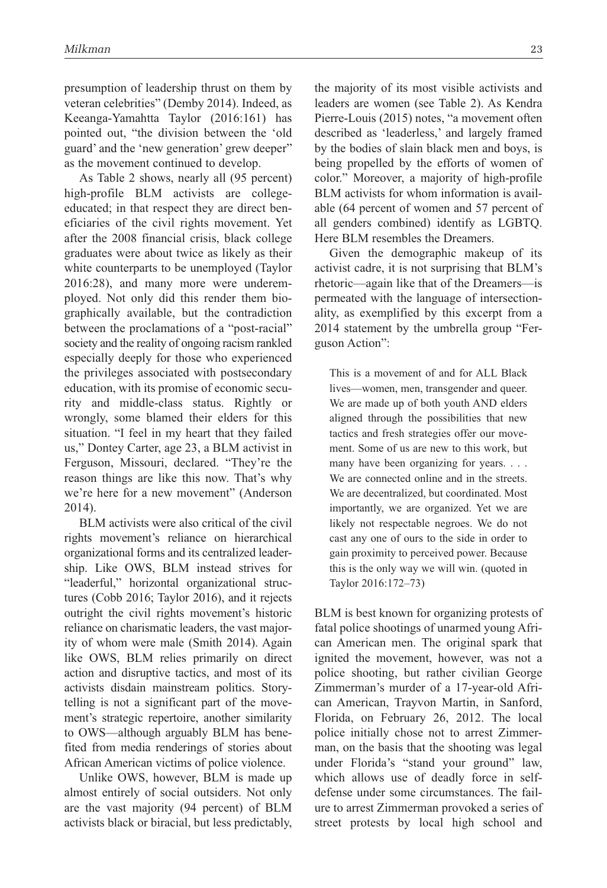presumption of leadership thrust on them by veteran celebrities" (Demby 2014). Indeed, as Keeanga-Yamahtta Taylor (2016:161) has pointed out, "the division between the 'old guard' and the 'new generation' grew deeper" as the movement continued to develop.

As Table 2 shows, nearly all (95 percent) high-profile BLM activists are collegeeducated; in that respect they are direct beneficiaries of the civil rights movement. Yet after the 2008 financial crisis, black college graduates were about twice as likely as their white counterparts to be unemployed (Taylor 2016:28), and many more were underemployed. Not only did this render them biographically available, but the contradiction between the proclamations of a "post-racial" society and the reality of ongoing racism rankled especially deeply for those who experienced the privileges associated with postsecondary education, with its promise of economic security and middle-class status. Rightly or wrongly, some blamed their elders for this situation. "I feel in my heart that they failed us," Dontey Carter, age 23, a BLM activist in Ferguson, Missouri, declared. "They're the reason things are like this now. That's why we're here for a new movement" (Anderson 2014).

BLM activists were also critical of the civil rights movement's reliance on hierarchical organizational forms and its centralized leadership. Like OWS, BLM instead strives for "leaderful," horizontal organizational structures (Cobb 2016; Taylor 2016), and it rejects outright the civil rights movement's historic reliance on charismatic leaders, the vast majority of whom were male (Smith 2014). Again like OWS, BLM relies primarily on direct action and disruptive tactics, and most of its activists disdain mainstream politics. Storytelling is not a significant part of the movement's strategic repertoire, another similarity to OWS—although arguably BLM has benefited from media renderings of stories about African American victims of police violence.

Unlike OWS, however, BLM is made up almost entirely of social outsiders. Not only are the vast majority (94 percent) of BLM activists black or biracial, but less predictably, the majority of its most visible activists and leaders are women (see Table 2). As Kendra Pierre-Louis (2015) notes, "a movement often described as 'leaderless,' and largely framed by the bodies of slain black men and boys, is being propelled by the efforts of women of color." Moreover, a majority of high-profile BLM activists for whom information is available (64 percent of women and 57 percent of all genders combined) identify as LGBTQ. Here BLM resembles the Dreamers.

Given the demographic makeup of its activist cadre, it is not surprising that BLM's rhetoric—again like that of the Dreamers—is permeated with the language of intersectionality, as exemplified by this excerpt from a 2014 statement by the umbrella group "Ferguson Action":

This is a movement of and for ALL Black lives—women, men, transgender and queer. We are made up of both youth AND elders aligned through the possibilities that new tactics and fresh strategies offer our movement. Some of us are new to this work, but many have been organizing for years. . . . We are connected online and in the streets. We are decentralized, but coordinated. Most importantly, we are organized. Yet we are likely not respectable negroes. We do not cast any one of ours to the side in order to gain proximity to perceived power. Because this is the only way we will win. (quoted in Taylor 2016:172–73)

BLM is best known for organizing protests of fatal police shootings of unarmed young African American men. The original spark that ignited the movement, however, was not a police shooting, but rather civilian George Zimmerman's murder of a 17-year-old African American, Trayvon Martin, in Sanford, Florida, on February 26, 2012. The local police initially chose not to arrest Zimmerman, on the basis that the shooting was legal under Florida's "stand your ground" law, which allows use of deadly force in selfdefense under some circumstances. The failure to arrest Zimmerman provoked a series of street protests by local high school and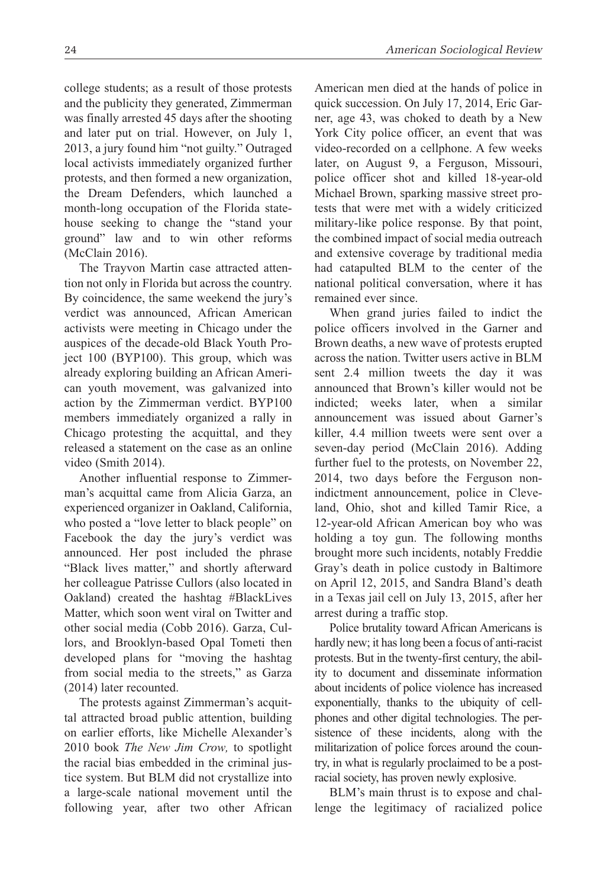college students; as a result of those protests and the publicity they generated, Zimmerman was finally arrested 45 days after the shooting and later put on trial. However, on July 1, 2013, a jury found him "not guilty." Outraged local activists immediately organized further protests, and then formed a new organization, the Dream Defenders, which launched a month-long occupation of the Florida statehouse seeking to change the "stand your

(McClain 2016). The Trayvon Martin case attracted attention not only in Florida but across the country. By coincidence, the same weekend the jury's verdict was announced, African American activists were meeting in Chicago under the auspices of the decade-old Black Youth Project 100 (BYP100). This group, which was already exploring building an African American youth movement, was galvanized into action by the Zimmerman verdict. BYP100 members immediately organized a rally in Chicago protesting the acquittal, and they released a statement on the case as an online video (Smith 2014).

ground" law and to win other reforms

Another influential response to Zimmerman's acquittal came from Alicia Garza, an experienced organizer in Oakland, California, who posted a "love letter to black people" on Facebook the day the jury's verdict was announced. Her post included the phrase "Black lives matter," and shortly afterward her colleague Patrisse Cullors (also located in Oakland) created the hashtag #BlackLives Matter, which soon went viral on Twitter and other social media (Cobb 2016). Garza, Cullors, and Brooklyn-based Opal Tometi then developed plans for "moving the hashtag from social media to the streets," as Garza (2014) later recounted.

The protests against Zimmerman's acquittal attracted broad public attention, building on earlier efforts, like Michelle Alexander's 2010 book *The New Jim Crow,* to spotlight the racial bias embedded in the criminal justice system. But BLM did not crystallize into a large-scale national movement until the following year, after two other African American men died at the hands of police in quick succession. On July 17, 2014, Eric Garner, age 43, was choked to death by a New York City police officer, an event that was video-recorded on a cellphone. A few weeks later, on August 9, a Ferguson, Missouri, police officer shot and killed 18-year-old Michael Brown, sparking massive street protests that were met with a widely criticized military-like police response. By that point, the combined impact of social media outreach and extensive coverage by traditional media had catapulted BLM to the center of the national political conversation, where it has remained ever since.

When grand juries failed to indict the police officers involved in the Garner and Brown deaths, a new wave of protests erupted across the nation. Twitter users active in BLM sent 2.4 million tweets the day it was announced that Brown's killer would not be indicted; weeks later, when a similar announcement was issued about Garner's killer, 4.4 million tweets were sent over a seven-day period (McClain 2016). Adding further fuel to the protests, on November 22, 2014, two days before the Ferguson nonindictment announcement, police in Cleveland, Ohio, shot and killed Tamir Rice, a 12-year-old African American boy who was holding a toy gun. The following months brought more such incidents, notably Freddie Gray's death in police custody in Baltimore on April 12, 2015, and Sandra Bland's death in a Texas jail cell on July 13, 2015, after her arrest during a traffic stop.

Police brutality toward African Americans is hardly new; it has long been a focus of anti-racist protests. But in the twenty-first century, the ability to document and disseminate information about incidents of police violence has increased exponentially, thanks to the ubiquity of cellphones and other digital technologies. The persistence of these incidents, along with the militarization of police forces around the country, in what is regularly proclaimed to be a postracial society, has proven newly explosive.

BLM's main thrust is to expose and challenge the legitimacy of racialized police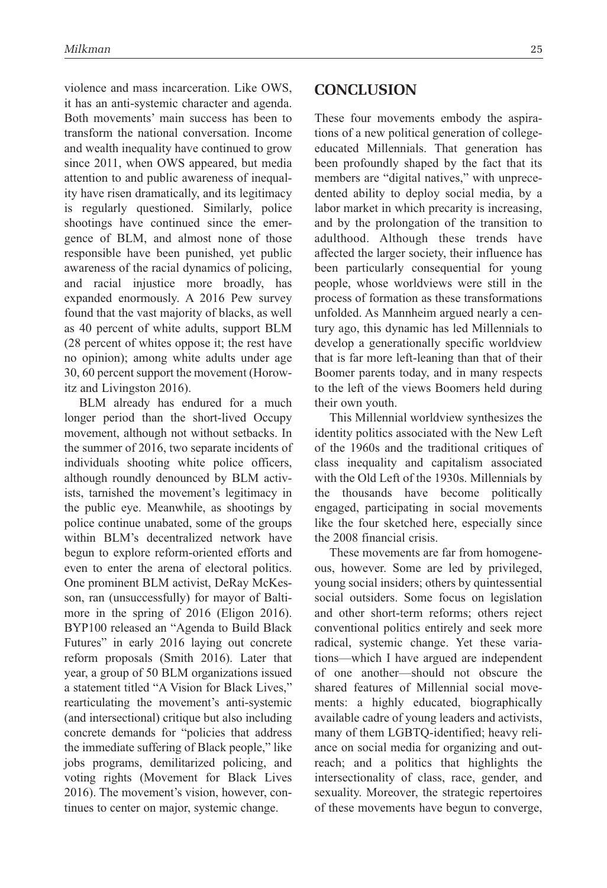violence and mass incarceration. Like OWS, it has an anti-systemic character and agenda. Both movements' main success has been to transform the national conversation. Income and wealth inequality have continued to grow since 2011, when OWS appeared, but media attention to and public awareness of inequality have risen dramatically, and its legitimacy is regularly questioned. Similarly, police shootings have continued since the emergence of BLM, and almost none of those responsible have been punished, yet public awareness of the racial dynamics of policing, and racial injustice more broadly, has expanded enormously. A 2016 Pew survey found that the vast majority of blacks, as well as 40 percent of white adults, support BLM (28 percent of whites oppose it; the rest have no opinion); among white adults under age 30, 60 percent support the movement (Horowitz and Livingston 2016).

BLM already has endured for a much longer period than the short-lived Occupy movement, although not without setbacks. In the summer of 2016, two separate incidents of individuals shooting white police officers, although roundly denounced by BLM activists, tarnished the movement's legitimacy in the public eye. Meanwhile, as shootings by police continue unabated, some of the groups within BLM's decentralized network have begun to explore reform-oriented efforts and even to enter the arena of electoral politics. One prominent BLM activist, DeRay McKesson, ran (unsuccessfully) for mayor of Baltimore in the spring of 2016 (Eligon 2016). BYP100 released an "Agenda to Build Black Futures" in early 2016 laying out concrete reform proposals (Smith 2016). Later that year, a group of 50 BLM organizations issued a statement titled "A Vision for Black Lives," rearticulating the movement's anti-systemic (and intersectional) critique but also including concrete demands for "policies that address the immediate suffering of Black people," like jobs programs, demilitarized policing, and voting rights (Movement for Black Lives 2016). The movement's vision, however, continues to center on major, systemic change.

#### **Conclusion**

These four movements embody the aspirations of a new political generation of collegeeducated Millennials. That generation has been profoundly shaped by the fact that its members are "digital natives," with unprecedented ability to deploy social media, by a labor market in which precarity is increasing, and by the prolongation of the transition to adulthood. Although these trends have affected the larger society, their influence has been particularly consequential for young people, whose worldviews were still in the process of formation as these transformations unfolded. As Mannheim argued nearly a century ago, this dynamic has led Millennials to develop a generationally specific worldview that is far more left-leaning than that of their Boomer parents today, and in many respects to the left of the views Boomers held during their own youth.

This Millennial worldview synthesizes the identity politics associated with the New Left of the 1960s and the traditional critiques of class inequality and capitalism associated with the Old Left of the 1930s. Millennials by the thousands have become politically engaged, participating in social movements like the four sketched here, especially since the 2008 financial crisis.

These movements are far from homogeneous, however. Some are led by privileged, young social insiders; others by quintessential social outsiders. Some focus on legislation and other short-term reforms; others reject conventional politics entirely and seek more radical, systemic change. Yet these variations—which I have argued are independent of one another—should not obscure the shared features of Millennial social movements: a highly educated, biographically available cadre of young leaders and activists, many of them LGBTQ-identified; heavy reliance on social media for organizing and outreach; and a politics that highlights the intersectionality of class, race, gender, and sexuality. Moreover, the strategic repertoires of these movements have begun to converge,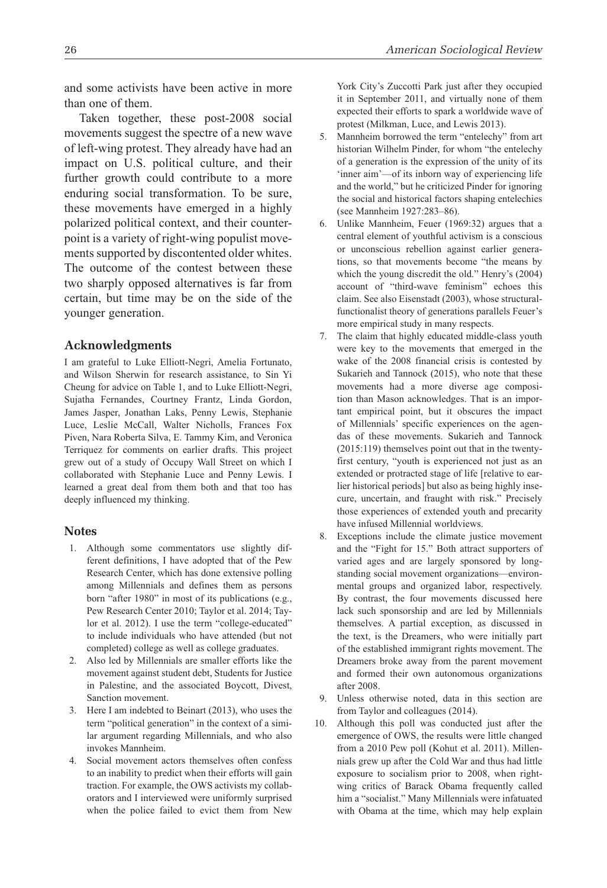and some activists have been active in more than one of them.

Taken together, these post-2008 social movements suggest the spectre of a new wave of left-wing protest. They already have had an impact on U.S. political culture, and their further growth could contribute to a more enduring social transformation. To be sure, these movements have emerged in a highly polarized political context, and their counterpoint is a variety of right-wing populist movements supported by discontented older whites. The outcome of the contest between these two sharply opposed alternatives is far from certain, but time may be on the side of the younger generation.

#### **Acknowledgments**

I am grateful to Luke Elliott-Negri, Amelia Fortunato, and Wilson Sherwin for research assistance, to Sin Yi Cheung for advice on Table 1, and to Luke Elliott-Negri, Sujatha Fernandes, Courtney Frantz, Linda Gordon, James Jasper, Jonathan Laks, Penny Lewis, Stephanie Luce, Leslie McCall, Walter Nicholls, Frances Fox Piven, Nara Roberta Silva, E. Tammy Kim, and Veronica Terriquez for comments on earlier drafts. This project grew out of a study of Occupy Wall Street on which I collaborated with Stephanie Luce and Penny Lewis. I learned a great deal from them both and that too has deeply influenced my thinking.

#### **Notes**

- 1. Although some commentators use slightly different definitions, I have adopted that of the Pew Research Center, which has done extensive polling among Millennials and defines them as persons born "after 1980" in most of its publications (e.g., Pew Research Center 2010; Taylor et al. 2014; Taylor et al. 2012). I use the term "college-educated" to include individuals who have attended (but not completed) college as well as college graduates.
- 2. Also led by Millennials are smaller efforts like the movement against student debt, Students for Justice in Palestine, and the associated Boycott, Divest, Sanction movement.
- 3. Here I am indebted to Beinart (2013), who uses the term "political generation" in the context of a similar argument regarding Millennials, and who also invokes Mannheim.
- 4. Social movement actors themselves often confess to an inability to predict when their efforts will gain traction. For example, the OWS activists my collaborators and I interviewed were uniformly surprised when the police failed to evict them from New

York City's Zuccotti Park just after they occupied it in September 2011, and virtually none of them expected their efforts to spark a worldwide wave of protest (Milkman, Luce, and Lewis 2013).

- 5. Mannheim borrowed the term "entelechy" from art historian Wilhelm Pinder, for whom "the entelechy of a generation is the expression of the unity of its 'inner aim'—of its inborn way of experiencing life and the world," but he criticized Pinder for ignoring the social and historical factors shaping entelechies (see Mannheim 1927:283–86).
- 6. Unlike Mannheim, Feuer (1969:32) argues that a central element of youthful activism is a conscious or unconscious rebellion against earlier generations, so that movements become "the means by which the young discredit the old." Henry's (2004) account of "third-wave feminism" echoes this claim. See also Eisenstadt (2003), whose structuralfunctionalist theory of generations parallels Feuer's more empirical study in many respects.
- 7. The claim that highly educated middle-class youth were key to the movements that emerged in the wake of the 2008 financial crisis is contested by Sukarieh and Tannock (2015), who note that these movements had a more diverse age composition than Mason acknowledges. That is an important empirical point, but it obscures the impact of Millennials' specific experiences on the agendas of these movements. Sukarieh and Tannock (2015:119) themselves point out that in the twentyfirst century, "youth is experienced not just as an extended or protracted stage of life [relative to earlier historical periods] but also as being highly insecure, uncertain, and fraught with risk." Precisely those experiences of extended youth and precarity have infused Millennial worldviews.
- 8. Exceptions include the climate justice movement and the "Fight for 15." Both attract supporters of varied ages and are largely sponsored by longstanding social movement organizations—environmental groups and organized labor, respectively. By contrast, the four movements discussed here lack such sponsorship and are led by Millennials themselves. A partial exception, as discussed in the text, is the Dreamers, who were initially part of the established immigrant rights movement. The Dreamers broke away from the parent movement and formed their own autonomous organizations after 2008.
- 9. Unless otherwise noted, data in this section are from Taylor and colleagues (2014).
- 10. Although this poll was conducted just after the emergence of OWS, the results were little changed from a 2010 Pew poll (Kohut et al. 2011). Millennials grew up after the Cold War and thus had little exposure to socialism prior to 2008, when rightwing critics of Barack Obama frequently called him a "socialist." Many Millennials were infatuated with Obama at the time, which may help explain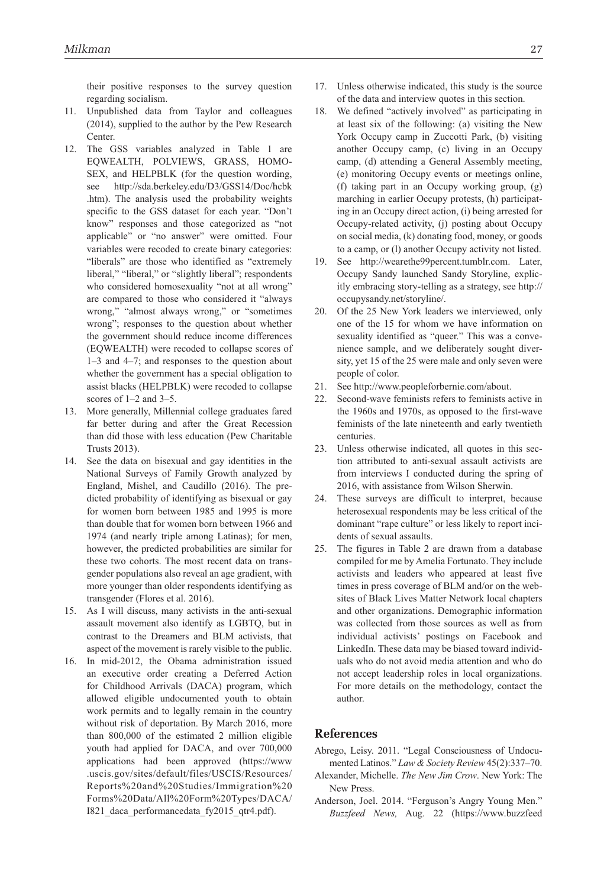their positive responses to the survey question regarding socialism.

- 11. Unpublished data from Taylor and colleagues (2014), supplied to the author by the Pew Research **Center**.
- 12. The GSS variables analyzed in Table 1 are EQWEALTH, POLVIEWS, GRASS, HOMO-SEX, and HELPBLK (for the question wording, see <http://sda.berkeley.edu/D3/GSS14/Doc/hcbk> .htm). The analysis used the probability weights specific to the GSS dataset for each year. "Don't know" responses and those categorized as "not applicable" or "no answer" were omitted. Four variables were recoded to create binary categories: "liberals" are those who identified as "extremely liberal," "liberal," or "slightly liberal"; respondents who considered homosexuality "not at all wrong" are compared to those who considered it "always wrong," "almost always wrong," or "sometimes wrong"; responses to the question about whether the government should reduce income differences (EQWEALTH) were recoded to collapse scores of 1–3 and 4–7; and responses to the question about whether the government has a special obligation to assist blacks (HELPBLK) were recoded to collapse scores of 1–2 and 3–5.
- 13. More generally, Millennial college graduates fared far better during and after the Great Recession than did those with less education (Pew Charitable Trusts 2013).
- 14. See the data on bisexual and gay identities in the National Surveys of Family Growth analyzed by England, Mishel, and Caudillo (2016). The predicted probability of identifying as bisexual or gay for women born between 1985 and 1995 is more than double that for women born between 1966 and 1974 (and nearly triple among Latinas); for men, however, the predicted probabilities are similar for these two cohorts. The most recent data on transgender populations also reveal an age gradient, with more younger than older respondents identifying as transgender (Flores et al. 2016).
- 15. As I will discuss, many activists in the anti-sexual assault movement also identify as LGBTQ, but in contrast to the Dreamers and BLM activists, that aspect of the movement is rarely visible to the public.
- 16. In mid-2012, the Obama administration issued an executive order creating a Deferred Action for Childhood Arrivals (DACA) program, which allowed eligible undocumented youth to obtain work permits and to legally remain in the country without risk of deportation. By March 2016, more than 800,000 of the estimated 2 million eligible youth had applied for DACA, and over 700,000 applications had been approved [\(https://www](https://www) .uscis.gov/sites/default/files/USCIS/Resources/ Reports%20and%20Studies/Immigration%20 Forms%20Data/All%20Form%20Types/DACA/ I821\_daca\_performancedata\_fy2015\_qtr4.pdf).
- 17. Unless otherwise indicated, this study is the source of the data and interview quotes in this section.
- 18. We defined "actively involved" as participating in at least six of the following: (a) visiting the New York Occupy camp in Zuccotti Park, (b) visiting another Occupy camp, (c) living in an Occupy camp, (d) attending a General Assembly meeting, (e) monitoring Occupy events or meetings online, (f) taking part in an Occupy working group, (g) marching in earlier Occupy protests, (h) participating in an Occupy direct action, (i) being arrested for Occupy-related activity, (j) posting about Occupy on social media, (k) donating food, money, or goods to a camp, or (l) another Occupy activity not listed.
- 19. See [http://wearethe99percent.tumblr.com.](http://wearethe99percent.tumblr.com) Later, Occupy Sandy launched Sandy Storyline, explicitly embracing story-telling as a strategy, see [http://](http://occupysandy.net/storyline/) [occupysandy.net/storyline/](http://occupysandy.net/storyline/).
- 20. Of the 25 New York leaders we interviewed, only one of the 15 for whom we have information on sexuality identified as "queer." This was a convenience sample, and we deliberately sought diversity, yet 15 of the 25 were male and only seven were people of color.
- 21. See [http://www.peopleforbernie.com/about.](http://www.peopleforbernie.com/about)
- 22. Second-wave feminists refers to feminists active in the 1960s and 1970s, as opposed to the first-wave feminists of the late nineteenth and early twentieth centuries.
- 23. Unless otherwise indicated, all quotes in this section attributed to anti-sexual assault activists are from interviews I conducted during the spring of 2016, with assistance from Wilson Sherwin.
- 24. These surveys are difficult to interpret, because heterosexual respondents may be less critical of the dominant "rape culture" or less likely to report incidents of sexual assaults.
- 25. The figures in Table 2 are drawn from a database compiled for me by Amelia Fortunato. They include activists and leaders who appeared at least five times in press coverage of BLM and/or on the websites of Black Lives Matter Network local chapters and other organizations. Demographic information was collected from those sources as well as from individual activists' postings on Facebook and LinkedIn. These data may be biased toward individuals who do not avoid media attention and who do not accept leadership roles in local organizations. For more details on the methodology, contact the author.

#### **References**

- Abrego, Leisy. 2011. "Legal Consciousness of Undocumented Latinos." *Law & Society Review* 45(2):337–70.
- Alexander, Michelle. *The New Jim Crow*. New York: The New Press.
- Anderson, Joel. 2014. "Ferguson's Angry Young Men." *Buzzfeed News,* Aug. 22 (<https://www.buzzfeed>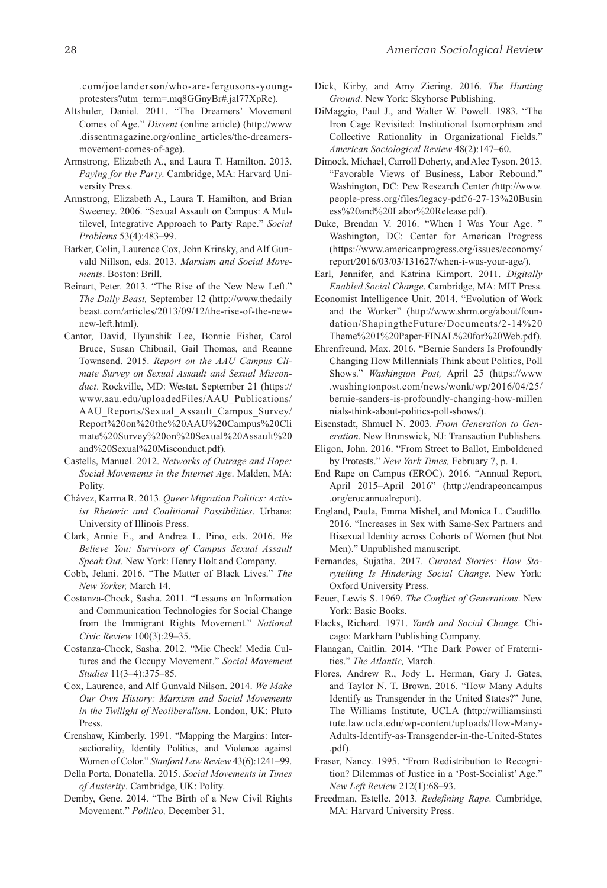.com/joelanderson/who-are-fergusons-youngprotesters?utm\_term=.mq8GGnyBr#.jal77XpRe).

- Altshuler, Daniel. 2011. "The Dreamers' Movement Comes of Age." *Dissent* (online article) (<http://www> .dissentmagazine.org/online\_articles/the-dreamersmovement-comes-of-age).
- Armstrong, Elizabeth A., and Laura T. Hamilton. 2013. *Paying for the Party*. Cambridge, MA: Harvard University Press.
- Armstrong, Elizabeth A., Laura T. Hamilton, and Brian Sweeney. 2006. "Sexual Assault on Campus: A Multilevel, Integrative Approach to Party Rape." *Social Problems* 53(4):483–99.
- Barker, Colin, Laurence Cox, John Krinsky, and Alf Gunvald Nillson, eds. 2013. *Marxism and Social Movements*. Boston: Brill.
- Beinart, Peter. 2013. "The Rise of the New New Left." *The Daily Beast,* September 12 [\(http://www.thedaily](http://www.thedaily beast.com/articles/2013/09/12/the-rise-of-the-new-new-left.html)  [beast.com/articles/2013/09/12/the-rise-of-the-new](http://www.thedaily beast.com/articles/2013/09/12/the-rise-of-the-new-new-left.html)[new-left.html\)](http://www.thedaily beast.com/articles/2013/09/12/the-rise-of-the-new-new-left.html).
- Cantor, David, Hyunshik Lee, Bonnie Fisher, Carol Bruce, Susan Chibnail, Gail Thomas, and Reanne Townsend. 2015. *Report on the AAU Campus Climate Survey on Sexual Assault and Sexual Misconduct*. Rockville, MD: Westat. September 21 ([https://](https://www.aau.edu/uploadedFiles/AAU_Publications/AAU_Reports/Sexual_Assault_Campus_Survey/Report%20on%20the%20AAU%20Campus%20Cli mate%20Survey%20on%20Sexual%20Assault%20and%20Sexual%20Misconduct.pdf) [www.aau.edu/uploadedFiles/AAU\\_Publications/](https://www.aau.edu/uploadedFiles/AAU_Publications/AAU_Reports/Sexual_Assault_Campus_Survey/Report%20on%20the%20AAU%20Campus%20Cli mate%20Survey%20on%20Sexual%20Assault%20and%20Sexual%20Misconduct.pdf) [AAU\\_Reports/Sexual\\_Assault\\_Campus\\_Survey/](https://www.aau.edu/uploadedFiles/AAU_Publications/AAU_Reports/Sexual_Assault_Campus_Survey/Report%20on%20the%20AAU%20Campus%20Cli mate%20Survey%20on%20Sexual%20Assault%20and%20Sexual%20Misconduct.pdf) [Report%20on%20the%20AAU%20Campus%20Cli](https://www.aau.edu/uploadedFiles/AAU_Publications/AAU_Reports/Sexual_Assault_Campus_Survey/Report%20on%20the%20AAU%20Campus%20Cli mate%20Survey%20on%20Sexual%20Assault%20and%20Sexual%20Misconduct.pdf)  [mate%20Survey%20on%20Sexual%20Assault%20](https://www.aau.edu/uploadedFiles/AAU_Publications/AAU_Reports/Sexual_Assault_Campus_Survey/Report%20on%20the%20AAU%20Campus%20Cli mate%20Survey%20on%20Sexual%20Assault%20and%20Sexual%20Misconduct.pdf) [and%20Sexual%20Misconduct.pdf\)](https://www.aau.edu/uploadedFiles/AAU_Publications/AAU_Reports/Sexual_Assault_Campus_Survey/Report%20on%20the%20AAU%20Campus%20Cli mate%20Survey%20on%20Sexual%20Assault%20and%20Sexual%20Misconduct.pdf).
- Castells, Manuel. 2012. *Networks of Outrage and Hope: Social Movements in the Internet Age*. Malden, MA: Polity.
- Chávez, Karma R. 2013. *Queer Migration Politics: Activist Rhetoric and Coalitional Possibilities*. Urbana: University of Illinois Press.
- Clark, Annie E., and Andrea L. Pino, eds. 2016. *We Believe You: Survivors of Campus Sexual Assault Speak Out*. New York: Henry Holt and Company.
- Cobb, Jelani. 2016. "The Matter of Black Lives." *The New Yorker,* March 14.
- Costanza-Chock, Sasha. 2011. "Lessons on Information and Communication Technologies for Social Change from the Immigrant Rights Movement." *National Civic Review* 100(3):29–35.
- Costanza-Chock, Sasha. 2012. "Mic Check! Media Cultures and the Occupy Movement." *Social Movement Studies* 11(3–4):375–85.
- Cox, Laurence, and Alf Gunvald Nilson. 2014. *We Make Our Own History: Marxism and Social Movements in the Twilight of Neoliberalism*. London, UK: Pluto Press.
- Crenshaw, Kimberly. 1991. "Mapping the Margins: Intersectionality, Identity Politics, and Violence against Women of Color." *Stanford Law Review* 43(6):1241–99.
- Della Porta, Donatella. 2015. *Social Movements in Times of Austerity*. Cambridge, UK: Polity.
- Demby, Gene. 2014. "The Birth of a New Civil Rights Movement." *Politico,* December 31.
- Dick, Kirby, and Amy Ziering. 2016. *The Hunting Ground*. New York: Skyhorse Publishing.
- DiMaggio, Paul J., and Walter W. Powell. 1983. "The Iron Cage Revisited: Institutional Isomorphism and Collective Rationality in Organizational Fields." *American Sociological Review* 48(2):147–60.
- Dimock, Michael, Carroll Doherty, and Alec Tyson. 2013. "Favorable Views of Business, Labor Rebound." Washington, DC: Pew Research Center *(*[http://www.](http://www.people-press.org/files/legacy-pdf/6-27-13%20Busin ess%20and%20Labor%20Release.pdf) [people-press.org/files/legacy-pdf/6-27-13%20Busin](http://www.people-press.org/files/legacy-pdf/6-27-13%20Busin ess%20and%20Labor%20Release.pdf)  [ess%20and%20Labor%20Release.pdf\)](http://www.people-press.org/files/legacy-pdf/6-27-13%20Busin ess%20and%20Labor%20Release.pdf).
- Duke, Brendan V. 2016. "When I Was Your Age. " Washington, DC: Center for American Progress ([https://www.americanprogress.org/issues/economy/](https://www.americanprogress.org/issues/economy/report/2016/03/03/131627/when-i-was-your-age/) [report/2016/03/03/131627/when-i-was-your-age/\)](https://www.americanprogress.org/issues/economy/report/2016/03/03/131627/when-i-was-your-age/).
- Earl, Jennifer, and Katrina Kimport. 2011. *Digitally Enabled Social Change*. Cambridge, MA: MIT Press.
- Economist Intelligence Unit. 2014. "Evolution of Work and the Worker" ([http://www.shrm.org/about/foun](http://www.shrm.org/about/foundation/ShapingtheFuture/Documents/2-14%20Theme%201%20Paper-FINAL%20for%20Web.pdf)[dation/ShapingtheFuture/Documents/2-14%20](http://www.shrm.org/about/foundation/ShapingtheFuture/Documents/2-14%20Theme%201%20Paper-FINAL%20for%20Web.pdf) [Theme%201%20Paper-FINAL%20for%20Web.pdf\)](http://www.shrm.org/about/foundation/ShapingtheFuture/Documents/2-14%20Theme%201%20Paper-FINAL%20for%20Web.pdf).
- Ehrenfreund, Max. 2016. "Bernie Sanders Is Profoundly Changing How Millennials Think about Politics, Poll Shows." *Washington Post,* April 25 (<https://www> .washingtonpost.com/news/wonk/wp/2016/04/25/ bernie-sanders-is-profoundly-changing-how-millen nials-think-about-politics-poll-shows/).
- Eisenstadt, Shmuel N. 2003. *From Generation to Generation*. New Brunswick, NJ: Transaction Publishers.
- Eligon, John. 2016. "From Street to Ballot, Emboldened by Protests." *New York Times,* February 7, p. 1.
- End Rape on Campus (EROC). 2016. "Annual Report, April 2015–April 2016" (<http://endrapeoncampus> .org/erocannualreport).
- England, Paula, Emma Mishel, and Monica L. Caudillo. 2016. "Increases in Sex with Same-Sex Partners and Bisexual Identity across Cohorts of Women (but Not Men)." Unpublished manuscript.
- Fernandes, Sujatha. 2017. *Curated Stories: How Storytelling Is Hindering Social Change*. New York: Oxford University Press.
- Feuer, Lewis S. 1969. *The Conflict of Generations*. New York: Basic Books.
- Flacks, Richard. 1971. *Youth and Social Change*. Chicago: Markham Publishing Company.
- Flanagan, Caitlin. 2014. "The Dark Power of Fraternities." *The Atlantic,* March.
- Flores, Andrew R., Jody L. Herman, Gary J. Gates, and Taylor N. T. Brown. 2016. "How Many Adults Identify as Transgender in the United States?" June, The Williams Institute, UCLA [\(http://williamsinsti](http://williamsinsti tute.law.ucla.edu/wp-content/uploads/How-Many-Adults-Identify-as-Transgender-in-the-United-States)  [tute.law.ucla.edu/wp-content/uploads/How-Many-](http://williamsinsti tute.law.ucla.edu/wp-content/uploads/How-Many-Adults-Identify-as-Transgender-in-the-United-States)[Adults-Identify-as-Transgender-in-the-United-States](http://williamsinsti tute.law.ucla.edu/wp-content/uploads/How-Many-Adults-Identify-as-Transgender-in-the-United-States) .pdf).
- Fraser, Nancy. 1995. "From Redistribution to Recognition? Dilemmas of Justice in a 'Post-Socialist' Age." *New Left Review* 212(1):68–93.
- Freedman, Estelle. 2013. *Redefining Rape*. Cambridge, MA: Harvard University Press.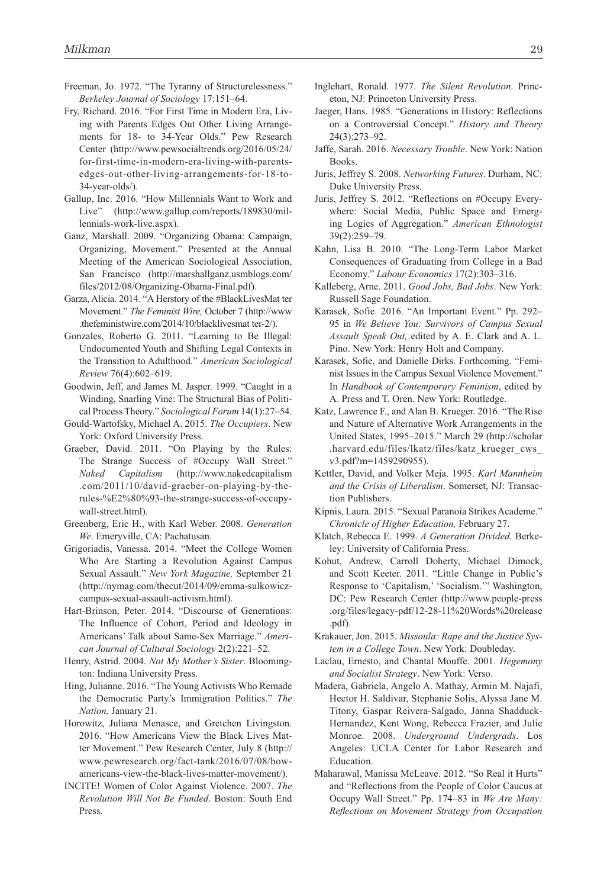- Freeman, Jo. 1972. "The Tyranny of Structurelessness." *Berkeley Journal of Sociology* 17:151–64.
- Fry, Richard. 2016. "For First Time in Modern Era, Living with Parents Edges Out Other Living Arrangements for 18- to 34-Year Olds." Pew Research Center [\(http://www.pewsocialtrends.org/2016/05/24/](http://www.pewsocialtrends.org/2016/05/24/for-first-time-in-modern-era-living-with-parents-edges-out-other-living-arrangements-for-18-to-34-year-olds/) [for-first-time-in-modern-era-living-with-parents](http://www.pewsocialtrends.org/2016/05/24/for-first-time-in-modern-era-living-with-parents-edges-out-other-living-arrangements-for-18-to-34-year-olds/)[edges-out-other-living-arrangements-for-18-to-](http://www.pewsocialtrends.org/2016/05/24/for-first-time-in-modern-era-living-with-parents-edges-out-other-living-arrangements-for-18-to-34-year-olds/)[34-year-olds/\)](http://www.pewsocialtrends.org/2016/05/24/for-first-time-in-modern-era-living-with-parents-edges-out-other-living-arrangements-for-18-to-34-year-olds/).
- Gallup, Inc. 2016. "How Millennials Want to Work and Live" [\(http://www.gallup.com/reports/189830/mil](http://www.gallup.com/reports/189830/millennials-work-live.aspx)[lennials-work-live.aspx\)](http://www.gallup.com/reports/189830/millennials-work-live.aspx).
- Ganz, Marshall. 2009. "Organizing Obama: Campaign, Organizing, Movement." Presented at the Annual Meeting of the American Sociological Association, San Francisco ([http://marshallganz.usmblogs.com/](http://marshallganz.usmblogs.com/files/2012/08/Organizing-Obama-Final.pdf) [files/2012/08/Organizing-Obama-Final.pdf](http://marshallganz.usmblogs.com/files/2012/08/Organizing-Obama-Final.pdf)).
- Garza, Alicia. 2014. "A Herstory of the #BlackLivesMat ter Movement." *The Feminist Wire,* October 7 [\(http://www](http://www) .thefeministwire.com/2014/10/blacklivesmat ter-2/).
- Gonzales, Roberto G. 2011. "Learning to Be Illegal: Undocumented Youth and Shifting Legal Contexts in the Transition to Adulthood." *American Sociological Review* 76(4):602–619.
- Goodwin, Jeff, and James M. Jasper. 1999. "Caught in a Winding, Snarling Vine: The Structural Bias of Political Process Theory." *Sociological Forum* 14(1):27–54.
- Gould-Wartofsky, Michael A. 2015. *The Occupiers*. New York: Oxford University Press.
- Graeber, David. 2011. "On Playing by the Rules: The Strange Success of #Occupy Wall Street." *Naked Capitalism* [\(http://www.nakedcapitalism](http://www.nakedcapitalism) .com/2011/10/david-graeber-on-playing-by-therules-%E2%80%93-the-strange-success-of-occupywall-street.html).
- Greenberg, Eric H., with Karl Weber. 2008. *Generation We*. Emeryville, CA: Pachatusan.
- Grigoriadis, Vanessa. 2014. "Meet the College Women Who Are Starting a Revolution Against Campus Sexual Assault." *New York Magazine,* September 21 [\(http://nymag.com/thecut/2014/09/emma-sulkowicz](http://nymag.com/thecut/2014/09/emma-sulkowicz-campus-sexual-assault-activism.html)[campus-sexual-assault-activism.html\)](http://nymag.com/thecut/2014/09/emma-sulkowicz-campus-sexual-assault-activism.html).
- Hart-Brinson, Peter. 2014. "Discourse of Generations: The Influence of Cohort, Period and Ideology in Americans' Talk about Same-Sex Marriage." *American Journal of Cultural Sociology* 2(2):221–52.
- Henry, Astrid. 2004. *Not My Mother's Sister*. Bloomington: Indiana University Press.
- Hing, Julianne. 2016. "The Young Activists Who Remade the Democratic Party's Immigration Politics." *The Nation,* January 21.
- Horowitz, Juliana Menasce, and Gretchen Livingston. 2016. "How Americans View the Black Lives Matter Movement." Pew Research Center, July 8 ([http://](http://www.pewresearch.org/fact-tank/2016/07/08/how-americans-view-the-black-lives-matter-movement/) [www.pewresearch.org/fact-tank/2016/07/08/how](http://www.pewresearch.org/fact-tank/2016/07/08/how-americans-view-the-black-lives-matter-movement/)[americans-view-the-black-lives-matter-movement/\)](http://www.pewresearch.org/fact-tank/2016/07/08/how-americans-view-the-black-lives-matter-movement/).
- INCITE! Women of Color Against Violence. 2007. *The Revolution Will Not Be Funded*. Boston: South End Press.
- Inglehart, Ronald. 1977. *The Silent Revolution*. Princeton, NJ: Princeton University Press.
- Jaeger, Hans. 1985. "Generations in History: Reflections on a Controversial Concept." *History and Theory* 24(3):273–92.
- Jaffe, Sarah. 2016. *Necessary Trouble*. New York: Nation Books.
- Juris, Jeffrey S. 2008. *Networking Futures*. Durham, NC: Duke University Press.
- Juris, Jeffrey S. 2012. "Reflections on #Occupy Everywhere: Social Media, Public Space and Emerging Logics of Aggregation." *American Ethnologist* 39(2):259–79.
- Kahn, Lisa B. 2010. "The Long-Term Labor Market Consequences of Graduating from College in a Bad Economy." *Labour Economics* 17(2):303–316.
- Kalleberg, Arne. 2011. *Good Jobs, Bad Jobs*. New York: Russell Sage Foundation.
- Karasek, Sofie. 2016. "An Important Event." Pp. 292– 95 in *We Believe You: Survivors of Campus Sexual Assault Speak Out,* edited by A. E. Clark and A. L. Pino. New York: Henry Holt and Company.
- Karasek, Sofie, and Danielle Dirks. Forthcoming. "Feminist Issues in the Campus Sexual Violence Movement." In *Handbook of Contemporary Feminism*, edited by A. Press and T. Oren. New York: Routledge.
- Katz, Lawrence F., and Alan B. Krueger. 2016. "The Rise and Nature of Alternative Work Arrangements in the United States, 1995–2015." March 29 [\(http://scholar](http://scholar) .harvard.edu/files/lkatz/files/katz\_krueger\_cws\_ v3.pdf?m=1459290955).
- Kettler, David, and Volker Meja. 1995. *Karl Mannheim and the Crisis of Liberalism*. Somerset, NJ: Transaction Publishers.
- Kipnis, Laura. 2015. "Sexual Paranoia Strikes Academe." *Chronicle of Higher Education,* February 27.
- Klatch, Rebecca E. 1999. *A Generation Divided*. Berkeley: University of California Press.
- Kohut, Andrew, Carroll Doherty, Michael Dimock, and Scott Keeter. 2011. "Little Change in Public's Response to 'Capitalism,' 'Socialism.'" Washington, DC: Pew Research Center [\(http://www.people-press](http://www.people-press) .org/files/legacy-pdf/12-28-11%20Words%20release .pdf).
- Krakauer, Jon. 2015. *Missoula: Rape and the Justice System in a College Town*. New York: Doubleday.
- Laclau, Ernesto, and Chantal Mouffe. 2001. *Hegemony and Socialist Strategy*. New York: Verso.
- Madera, Gabriela, Angelo A. Mathay, Armin M. Najafi, Hector H. Saldivar, Stephanie Solis, Alyssa Jane M. Titony, Gaspar Reivera-Salgado, Janna Shadduck-Hernandez, Kent Wong, Rebecca Frazier, and Julie Monroe. 2008. *Underground Undergrads*. Los Angeles: UCLA Center for Labor Research and Education.
- Maharawal, Manissa McLeave. 2012. "So Real it Hurts" and "Reflections from the People of Color Caucus at Occupy Wall Street." Pp. 174–83 in *We Are Many: Reflections on Movement Strategy from Occupation*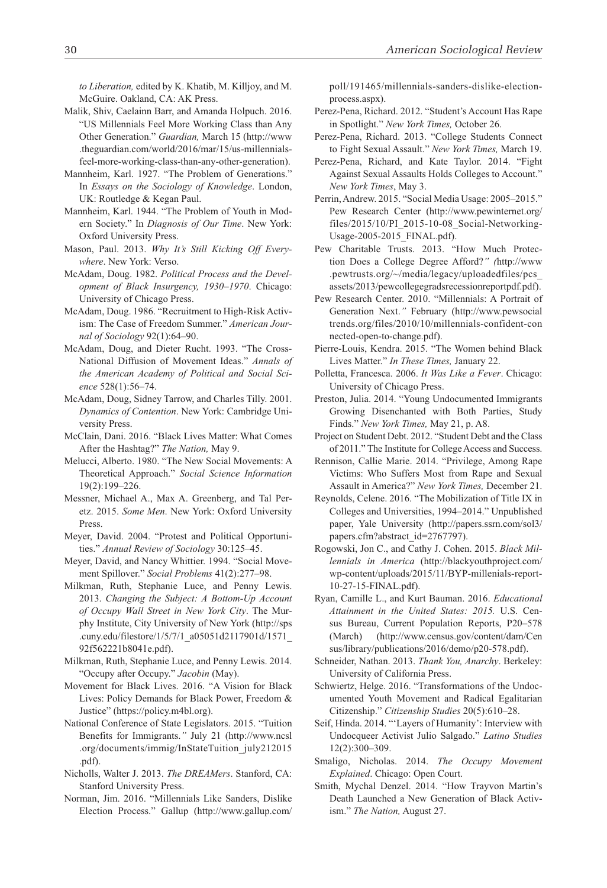*to Liberation,* edited by K. Khatib, M. Killjoy, and M. McGuire. Oakland, CA: AK Press.

- Malik, Shiv, Caelainn Barr, and Amanda Holpuch. 2016. "US Millennials Feel More Working Class than Any Other Generation." *Guardian,* March 15 (<http://www> .theguardian.com/world/2016/mar/15/us-millennialsfeel-more-working-class-than-any-other-generation).
- Mannheim, Karl. 1927. "The Problem of Generations." In *Essays on the Sociology of Knowledge*. London, UK: Routledge & Kegan Paul.
- Mannheim, Karl. 1944. "The Problem of Youth in Modern Society." In *Diagnosis of Our Time*. New York: Oxford University Press.
- Mason, Paul. 2013. *Why It's Still Kicking Off Everywhere*. New York: Verso.
- McAdam, Doug. 1982. *Political Process and the Development of Black Insurgency, 1930–1970*. Chicago: University of Chicago Press.
- McAdam, Doug. 1986. "Recruitment to High-Risk Activism: The Case of Freedom Summer." *American Journal of Sociology* 92(1):64–90.
- McAdam, Doug, and Dieter Rucht. 1993. "The Cross-National Diffusion of Movement Ideas." *Annals of the American Academy of Political and Social Science* 528(1):56–74.
- McAdam, Doug, Sidney Tarrow, and Charles Tilly. 2001. *Dynamics of Contention*. New York: Cambridge University Press.
- McClain, Dani. 2016. "Black Lives Matter: What Comes After the Hashtag?" *The Nation,* May 9.
- Melucci, Alberto. 1980. "The New Social Movements: A Theoretical Approach." *Social Science Information* 19(2):199–226.
- Messner, Michael A., Max A. Greenberg, and Tal Peretz. 2015. *Some Men*. New York: Oxford University Press.
- Meyer, David. 2004. "Protest and Political Opportunities." *Annual Review of Sociology* 30:125–45.
- Meyer, David, and Nancy Whittier. 1994. "Social Movement Spillover." *Social Problems* 41(2):277–98.
- Milkman, Ruth, Stephanie Luce, and Penny Lewis. 2013. *Changing the Subject: A Bottom-Up Account of Occupy Wall Street in New York City*. The Murphy Institute, City University of New York (<http://sps> .cuny.edu/filestore/1/5/7/1\_a05051d2117901d/1571\_ 92f562221b8041e.pdf).
- Milkman, Ruth, Stephanie Luce, and Penny Lewis. 2014. "Occupy after Occupy." *Jacobin* (May).
- Movement for Black Lives. 2016. "A Vision for Black Lives: Policy Demands for Black Power, Freedom & Justice" [\(https://policy.m4bl.org](https://policy.m4bl.org)).
- National Conference of State Legislators. 2015. "Tuition Benefits for Immigrants.*"* July 21 [\(http://www.ncsl](http://www.ncsl) .org/documents/immig/InStateTuition\_july212015 .pdf).
- Nicholls, Walter J. 2013. *The DREAMers*. Stanford, CA: Stanford University Press.
- Norman, Jim. 2016. "Millennials Like Sanders, Dislike Election Process." Gallup [\(http://www.gallup.com/](http://www.gallup.com/poll/191465/millennials-sanders-dislike-election-process.aspx)

[poll/191465/millennials-sanders-dislike-election](http://www.gallup.com/poll/191465/millennials-sanders-dislike-election-process.aspx)[process.aspx\)](http://www.gallup.com/poll/191465/millennials-sanders-dislike-election-process.aspx).

- Perez-Pena, Richard. 2012. "Student's Account Has Rape in Spotlight." *New York Times,* October 26.
- Perez-Pena, Richard. 2013. "College Students Connect to Fight Sexual Assault." *New York Times,* March 19.
- Perez-Pena, Richard, and Kate Taylor. 2014. "Fight Against Sexual Assaults Holds Colleges to Account." *New York Times*, May 3.
- Perrin, Andrew. 2015. "Social Media Usage: 2005–2015." Pew Research Center [\(http://www.pewinternet.org/](http://www.pewinternet.org/files/2015/10/PI_2015-10-08_Social-Networking-Usage-2005-2015_FINAL.pdf) [files/2015/10/PI\\_2015-10-08\\_Social-Networking-](http://www.pewinternet.org/files/2015/10/PI_2015-10-08_Social-Networking-Usage-2005-2015_FINAL.pdf)[Usage-2005-2015\\_FINAL.pdf\)](http://www.pewinternet.org/files/2015/10/PI_2015-10-08_Social-Networking-Usage-2005-2015_FINAL.pdf).
- Pew Charitable Trusts. 2013. "How Much Protection Does a College Degree Afford?*" (*<http://www> .pewtrusts.org/~/media/legacy/uploadedfiles/pcs\_ assets/2013/pewcollegegradsrecessionreportpdf.pdf).
- Pew Research Center. 2010. "Millennials: A Portrait of Generation Next.*"* February ([http://www.pewsocial](http://www.pewsocial trends.org/files/2010/10/millennials-confident-con nected-open-to-change.pdf)  [trends.org/files/2010/10/millennials-confident-con](http://www.pewsocial trends.org/files/2010/10/millennials-confident-con nected-open-to-change.pdf)  [nected-open-to-change.pdf\)](http://www.pewsocial trends.org/files/2010/10/millennials-confident-con nected-open-to-change.pdf).
- Pierre-Louis, Kendra. 2015. "The Women behind Black Lives Matter." *In These Times,* January 22.
- Polletta, Francesca. 2006. *It Was Like a Fever*. Chicago: University of Chicago Press.
- Preston, Julia. 2014. "Young Undocumented Immigrants Growing Disenchanted with Both Parties, Study Finds." *New York Times,* May 21, p. A8.
- Project on Student Debt. 2012. "Student Debt and the Class of 2011." The Institute for College Access and Success.
- Rennison, Callie Marie. 2014. "Privilege, Among Rape Victims: Who Suffers Most from Rape and Sexual Assault in America?" *New York Times,* December 21.
- Reynolds, Celene. 2016. "The Mobilization of Title IX in Colleges and Universities, 1994–2014." Unpublished paper, Yale University [\(http://papers.ssrn.com/sol3/](http://papers.ssrn.com/sol3/papers.cfm?abstract_id=2767797) [papers.cfm?abstract\\_id=2767797](http://papers.ssrn.com/sol3/papers.cfm?abstract_id=2767797)).
- Rogowski, Jon C., and Cathy J. Cohen. 2015. *Black Millennials in America* ([http://blackyouthproject.com/](http://blackyouthproject.com/wp-content/uploads/2015/11/BYP-millenials-report-10-27-15-FINAL.pdf) [wp-content/uploads/2015/11/BYP-millenials-report-](http://blackyouthproject.com/wp-content/uploads/2015/11/BYP-millenials-report-10-27-15-FINAL.pdf)[10-27-15-FINAL.pdf](http://blackyouthproject.com/wp-content/uploads/2015/11/BYP-millenials-report-10-27-15-FINAL.pdf)).
- Ryan, Camille L., and Kurt Bauman. 2016. *Educational Attainment in the United States: 2015.* U.S. Census Bureau, Current Population Reports, P20–578 (March) [\(http://www.census.gov/content/dam/Cen](http://www.census.gov/content/dam/Cen sus/library/publications/2016/demo/p20-578.pdf)  [sus/library/publications/2016/demo/p20-578.pdf\)](http://www.census.gov/content/dam/Cen sus/library/publications/2016/demo/p20-578.pdf).
- Schneider, Nathan. 2013. *Thank You, Anarchy*. Berkeley: University of California Press.
- Schwiertz, Helge. 2016. "Transformations of the Undocumented Youth Movement and Radical Egalitarian Citizenship." *Citizenship Studies* 20(5):610–28.
- Seif, Hinda. 2014. "'Layers of Humanity': Interview with Undocqueer Activist Julio Salgado." *Latino Studies* 12(2):300–309.
- Smaligo, Nicholas. 2014. *The Occupy Movement Explained*. Chicago: Open Court.
- Smith, Mychal Denzel. 2014. "How Trayvon Martin's Death Launched a New Generation of Black Activism." *The Nation,* August 27.